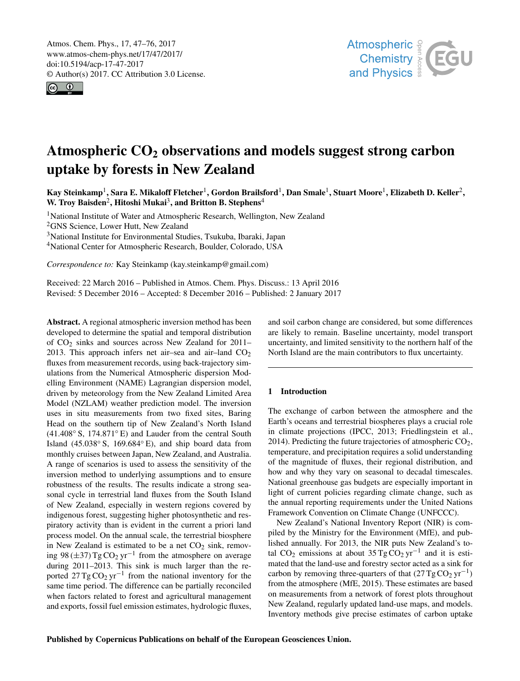<span id="page-0-1"></span>Atmos. Chem. Phys., 17, 47–76, 2017 www.atmos-chem-phys.net/17/47/2017/ doi:10.5194/acp-17-47-2017 © Author(s) 2017. CC Attribution 3.0 License.





# Atmospheric  $CO<sub>2</sub>$  observations and models suggest strong carbon uptake by forests in New Zealand

Kay Steinkamp<sup>[1](#page-0-0)</sup>, Sara E. Mikaloff Fletcher<sup>1</sup>, Gordon Brailsford<sup>1</sup>, Dan Smale<sup>1</sup>, Stuart Moore<sup>1</sup>, Elizabeth D. Keller<sup>[2](#page-0-0)</sup>, W. Troy Baisden<sup>[2](#page-0-0)</sup>, Hitoshi Mukai<sup>[3](#page-0-0)</sup>, and Britton B. Stephens<sup>[4](#page-0-0)</sup>

<sup>1</sup>National Institute of Water and Atmospheric Research, Wellington, New Zealand <sup>2</sup>GNS Science, Lower Hutt, New Zealand <sup>3</sup>National Institute for Environmental Studies, Tsukuba, Ibaraki, Japan

<sup>4</sup>National Center for Atmospheric Research, Boulder, Colorado, USA

*Correspondence to:* Kay Steinkamp (kay.steinkamp@gmail.com)

Received: 22 March 2016 – Published in Atmos. Chem. Phys. Discuss.: 13 April 2016 Revised: 5 December 2016 – Accepted: 8 December 2016 – Published: 2 January 2017

<span id="page-0-0"></span>Abstract. A regional atmospheric inversion method has been developed to determine the spatial and temporal distribution of  $CO<sub>2</sub>$  sinks and sources across New Zealand for 2011– 2013. This approach infers net air–sea and air–land  $CO<sub>2</sub>$ fluxes from measurement records, using back-trajectory simulations from the Numerical Atmospheric dispersion Modelling Environment (NAME) Lagrangian dispersion model, driven by meteorology from the New Zealand Limited Area Model (NZLAM) weather prediction model. The inversion uses in situ measurements from two fixed sites, Baring Head on the southern tip of New Zealand's North Island (41.408◦ S, 174.871◦ E) and Lauder from the central South Island  $(45.038° S, 169.684° E)$ , and ship board data from monthly cruises between Japan, New Zealand, and Australia. A range of scenarios is used to assess the sensitivity of the inversion method to underlying assumptions and to ensure robustness of the results. The results indicate a strong seasonal cycle in terrestrial land fluxes from the South Island of New Zealand, especially in western regions covered by indigenous forest, suggesting higher photosynthetic and respiratory activity than is evident in the current a priori land process model. On the annual scale, the terrestrial biosphere in New Zealand is estimated to be a net  $CO<sub>2</sub>$  sink, removing 98 ( $\pm$ 37) Tg CO<sub>2</sub> yr<sup>-1</sup> from the atmosphere on average during 2011–2013. This sink is much larger than the reported  $27 \text{ Tg} \text{CO}_2 \text{ yr}^{-1}$  from the national inventory for the same time period. The difference can be partially reconciled when factors related to forest and agricultural management and exports, fossil fuel emission estimates, hydrologic fluxes,

and soil carbon change are considered, but some differences are likely to remain. Baseline uncertainty, model transport uncertainty, and limited sensitivity to the northern half of the North Island are the main contributors to flux uncertainty.

## 1 Introduction

The exchange of carbon between the atmosphere and the Earth's oceans and terrestrial biospheres plays a crucial role in climate projections (IPCC, 2013; Friedlingstein et al., 2014). Predicting the future trajectories of atmospheric  $CO<sub>2</sub>$ , temperature, and precipitation requires a solid understanding of the magnitude of fluxes, their regional distribution, and how and why they vary on seasonal to decadal timescales. National greenhouse gas budgets are especially important in light of current policies regarding climate change, such as the annual reporting requirements under the United Nations Framework Convention on Climate Change (UNFCCC).

New Zealand's National Inventory Report (NIR) is compiled by the Ministry for the Environment (MfE), and published annually. For 2013, the NIR puts New Zealand's total CO<sub>2</sub> emissions at about 35 Tg CO<sub>2</sub> yr<sup>-1</sup> and it is estimated that the land-use and forestry sector acted as a sink for carbon by removing three-quarters of that  $(27 \text{ Tg} \text{CO}_2 \text{ yr}^{-1})$ from the atmosphere (MfE, 2015). These estimates are based on measurements from a network of forest plots throughout New Zealand, regularly updated land-use maps, and models. Inventory methods give precise estimates of carbon uptake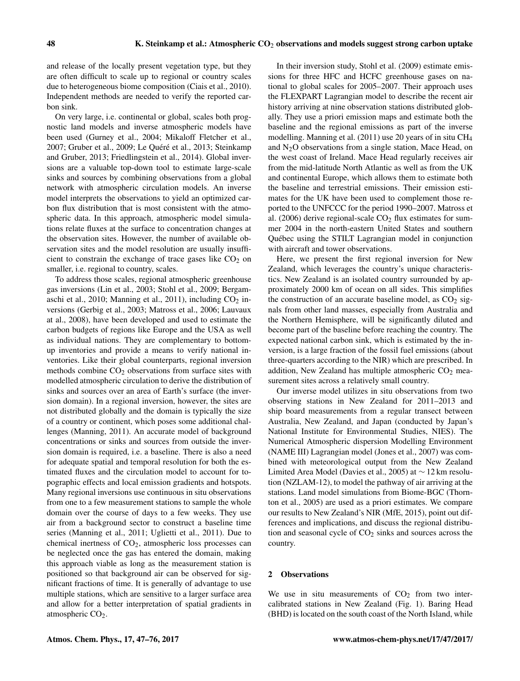and release of the locally present vegetation type, but they are often difficult to scale up to regional or country scales due to heterogeneous biome composition (Ciais et al., 2010). Independent methods are needed to verify the reported carbon sink.

On very large, i.e. continental or global, scales both prognostic land models and inverse atmospheric models have been used (Gurney et al., 2004; Mikaloff Fletcher et al., 2007; Gruber et al., 2009; Le Quéré et al., 2013; Steinkamp and Gruber, 2013; Friedlingstein et al., 2014). Global inversions are a valuable top-down tool to estimate large-scale sinks and sources by combining observations from a global network with atmospheric circulation models. An inverse model interprets the observations to yield an optimized carbon flux distribution that is most consistent with the atmospheric data. In this approach, atmospheric model simulations relate fluxes at the surface to concentration changes at the observation sites. However, the number of available observation sites and the model resolution are usually insufficient to constrain the exchange of trace gases like  $CO<sub>2</sub>$  on smaller, i.e. regional to country, scales.

To address those scales, regional atmospheric greenhouse gas inversions (Lin et al., 2003; Stohl et al., 2009; Bergamaschi et al., 2010; Manning et al., 2011), including  $CO<sub>2</sub>$  inversions (Gerbig et al., 2003; Matross et al., 2006; Lauvaux at al., 2008), have been developed and used to estimate the carbon budgets of regions like Europe and the USA as well as individual nations. They are complementary to bottomup inventories and provide a means to verify national inventories. Like their global counterparts, regional inversion methods combine  $CO<sub>2</sub>$  observations from surface sites with modelled atmospheric circulation to derive the distribution of sinks and sources over an area of Earth's surface (the inversion domain). In a regional inversion, however, the sites are not distributed globally and the domain is typically the size of a country or continent, which poses some additional challenges (Manning, 2011). An accurate model of background concentrations or sinks and sources from outside the inversion domain is required, i.e. a baseline. There is also a need for adequate spatial and temporal resolution for both the estimated fluxes and the circulation model to account for topographic effects and local emission gradients and hotspots. Many regional inversions use continuous in situ observations from one to a few measurement stations to sample the whole domain over the course of days to a few weeks. They use air from a background sector to construct a baseline time series (Manning et al., 2011; Uglietti et al., 2011). Due to chemical inertness of  $CO<sub>2</sub>$ , atmospheric loss processes can be neglected once the gas has entered the domain, making this approach viable as long as the measurement station is positioned so that background air can be observed for significant fractions of time. It is generally of advantage to use multiple stations, which are sensitive to a larger surface area and allow for a better interpretation of spatial gradients in atmospheric  $CO<sub>2</sub>$ .

In their inversion study, Stohl et al. (2009) estimate emissions for three HFC and HCFC greenhouse gases on national to global scales for 2005–2007. Their approach uses the FLEXPART Lagrangian model to describe the recent air history arriving at nine observation stations distributed globally. They use a priori emission maps and estimate both the baseline and the regional emissions as part of the inverse modelling. Manning et al. (2011) use 20 years of in situ CH<sup>4</sup> and  $N<sub>2</sub>O$  observations from a single station, Mace Head, on the west coast of Ireland. Mace Head regularly receives air from the mid-latitude North Atlantic as well as from the UK and continental Europe, which allows them to estimate both the baseline and terrestrial emissions. Their emission estimates for the UK have been used to complement those reported to the UNFCCC for the period 1990–2007. Matross et al. (2006) derive regional-scale  $CO<sub>2</sub>$  flux estimates for summer 2004 in the north-eastern United States and southern Québec using the STILT Lagrangian model in conjunction with aircraft and tower observations.

Here, we present the first regional inversion for New Zealand, which leverages the country's unique characteristics. New Zealand is an isolated country surrounded by approximately 2000 km of ocean on all sides. This simplifies the construction of an accurate baseline model, as  $CO<sub>2</sub>$  signals from other land masses, especially from Australia and the Northern Hemisphere, will be significantly diluted and become part of the baseline before reaching the country. The expected national carbon sink, which is estimated by the inversion, is a large fraction of the fossil fuel emissions (about three-quarters according to the NIR) which are prescribed. In addition, New Zealand has multiple atmospheric  $CO<sub>2</sub>$  measurement sites across a relatively small country.

Our inverse model utilizes in situ observations from two observing stations in New Zealand for 2011–2013 and ship board measurements from a regular transect between Australia, New Zealand, and Japan (conducted by Japan's National Institute for Environmental Studies, NIES). The Numerical Atmospheric dispersion Modelling Environment (NAME III) Lagrangian model (Jones et al., 2007) was combined with meteorological output from the New Zealand Limited Area Model (Davies et al., 2005) at ∼ 12 km resolution (NZLAM-12), to model the pathway of air arriving at the stations. Land model simulations from Biome-BGC (Thornton et al., 2005) are used as a priori estimates. We compare our results to New Zealand's NIR (MfE, 2015), point out differences and implications, and discuss the regional distribution and seasonal cycle of  $CO<sub>2</sub>$  sinks and sources across the country.

## 2 Observations

We use in situ measurements of  $CO<sub>2</sub>$  from two intercalibrated stations in New Zealand (Fig. 1). Baring Head (BHD) is located on the south coast of the North Island, while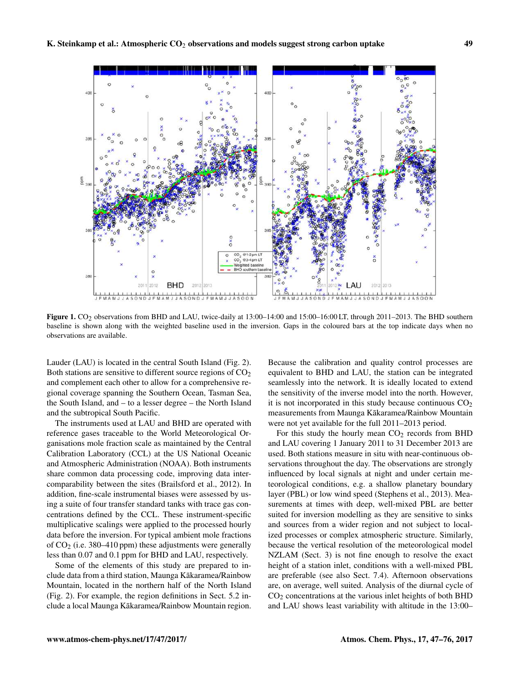

Figure 1. CO<sub>2</sub> observations from BHD and LAU, twice-daily at 13:00-14:00 and 15:00-16:00 LT, through 2011-2013. The BHD southern baseline is shown along with the weighted baseline used in the inversion. Gaps in the coloured bars at the top indicate days when no observations are available.

Lauder (LAU) is located in the central South Island (Fig. 2). Both stations are sensitive to different source regions of  $CO<sub>2</sub>$ and complement each other to allow for a comprehensive regional coverage spanning the Southern Ocean, Tasman Sea, the South Island, and – to a lesser degree – the North Island and the subtropical South Pacific.

The instruments used at LAU and BHD are operated with reference gases traceable to the World Meteorological Organisations mole fraction scale as maintained by the Central Calibration Laboratory (CCL) at the US National Oceanic and Atmospheric Administration (NOAA). Both instruments share common data processing code, improving data intercomparability between the sites (Brailsford et al., 2012). In addition, fine-scale instrumental biases were assessed by using a suite of four transfer standard tanks with trace gas concentrations defined by the CCL. These instrument-specific multiplicative scalings were applied to the processed hourly data before the inversion. For typical ambient mole fractions of  $CO<sub>2</sub>$  (i.e. 380–410 ppm) these adjustments were generally less than 0.07 and 0.1 ppm for BHD and LAU, respectively.

Some of the elements of this study are prepared to include data from a third station, Maunga Kakaramea/Rainbow Mountain, located in the northern half of the North Island (Fig. 2). For example, the region definitions in Sect. 5.2 include a local Maunga Kākaramea/Rainbow Mountain region.

Because the calibration and quality control processes are equivalent to BHD and LAU, the station can be integrated seamlessly into the network. It is ideally located to extend the sensitivity of the inverse model into the north. However, it is not incorporated in this study because continuous  $CO<sub>2</sub>$ measurements from Maunga Kākaramea/Rainbow Mountain were not yet available for the full 2011–2013 period.

For this study the hourly mean  $CO<sub>2</sub>$  records from BHD and LAU covering 1 January 2011 to 31 December 2013 are used. Both stations measure in situ with near-continuous observations throughout the day. The observations are strongly influenced by local signals at night and under certain meteorological conditions, e.g. a shallow planetary boundary layer (PBL) or low wind speed (Stephens et al., 2013). Measurements at times with deep, well-mixed PBL are better suited for inversion modelling as they are sensitive to sinks and sources from a wider region and not subject to localized processes or complex atmospheric structure. Similarly, because the vertical resolution of the meteorological model NZLAM (Sect. 3) is not fine enough to resolve the exact height of a station inlet, conditions with a well-mixed PBL are preferable (see also Sect. 7.4). Afternoon observations are, on average, well suited. Analysis of the diurnal cycle of  $CO<sub>2</sub>$  concentrations at the various inlet heights of both BHD and LAU shows least variability with altitude in the 13:00–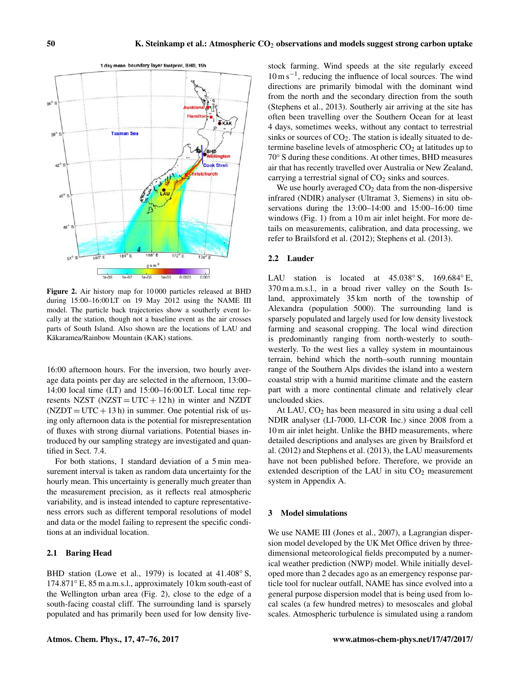

Figure 2. Air history map for 10 000 particles released at BHD during 15:00–16:00 LT on 19 May 2012 using the NAME III model. The particle back trajectories show a southerly event locally at the station, though not a baseline event as the air crosses parts of South Island. Also shown are the locations of LAU and Kākaramea/Rainbow Mountain (KAK) stations.

16:00 afternoon hours. For the inversion, two hourly average data points per day are selected in the afternoon, 13:00– 14:00 local time (LT) and 15:00–16:00 LT. Local time represents NZST (NZST =  $UTC + 12 h$ ) in winter and NZDT  $(NZDT = UTC + 13 h)$  in summer. One potential risk of using only afternoon data is the potential for misrepresentation of fluxes with strong diurnal variations. Potential biases introduced by our sampling strategy are investigated and quantified in Sect. 7.4.

For both stations, 1 standard deviation of a 5 min measurement interval is taken as random data uncertainty for the hourly mean. This uncertainty is generally much greater than the measurement precision, as it reflects real atmospheric variability, and is instead intended to capture representativeness errors such as different temporal resolutions of model and data or the model failing to represent the specific conditions at an individual location.

#### 2.1 Baring Head

BHD station (Lowe et al., 1979) is located at 41.408° S, 174.871◦ E, 85 m a.m.s.l., approximately 10 km south-east of the Wellington urban area (Fig. 2), close to the edge of a south-facing coastal cliff. The surrounding land is sparsely populated and has primarily been used for low density livestock farming. Wind speeds at the site regularly exceed 10 m s−<sup>1</sup> , reducing the influence of local sources. The wind directions are primarily bimodal with the dominant wind from the north and the secondary direction from the south (Stephens et al., 2013). Southerly air arriving at the site has often been travelling over the Southern Ocean for at least 4 days, sometimes weeks, without any contact to terrestrial sinks or sources of  $CO<sub>2</sub>$ . The station is ideally situated to determine baseline levels of atmospheric  $CO<sub>2</sub>$  at latitudes up to 70◦ S during these conditions. At other times, BHD measures air that has recently travelled over Australia or New Zealand, carrying a terrestrial signal of  $CO<sub>2</sub>$  sinks and sources.

We use hourly averaged  $CO<sub>2</sub>$  data from the non-dispersive infrared (NDIR) analyser (Ultramat 3, Siemens) in situ observations during the 13:00–14:00 and 15:00–16:00 time windows (Fig. 1) from a 10 m air inlet height. For more details on measurements, calibration, and data processing, we refer to Brailsford et al. (2012); Stephens et al. (2013).

#### 2.2 Lauder

LAU station is located at  $45.038° S$ ,  $169.684° E$ , 370 m a.m.s.l., in a broad river valley on the South Island, approximately 35 km north of the township of Alexandra (population 5000). The surrounding land is sparsely populated and largely used for low density livestock farming and seasonal cropping. The local wind direction is predominantly ranging from north-westerly to southwesterly. To the west lies a valley system in mountainous terrain, behind which the north–south running mountain range of the Southern Alps divides the island into a western coastal strip with a humid maritime climate and the eastern part with a more continental climate and relatively clear unclouded skies.

At LAU,  $CO<sub>2</sub>$  has been measured in situ using a dual cell NDIR analyser (LI-7000, LI-COR Inc.) since 2008 from a 10 m air inlet height. Unlike the BHD measurements, where detailed descriptions and analyses are given by Brailsford et al. (2012) and Stephens et al. (2013), the LAU measurements have not been published before. Therefore, we provide an extended description of the LAU in situ  $CO<sub>2</sub>$  measurement system in Appendix A.

## 3 Model simulations

We use NAME III (Jones et al., 2007), a Lagrangian dispersion model developed by the UK Met Office driven by threedimensional meteorological fields precomputed by a numerical weather prediction (NWP) model. While initially developed more than 2 decades ago as an emergency response particle tool for nuclear outfall, NAME has since evolved into a general purpose dispersion model that is being used from local scales (a few hundred metres) to mesoscales and global scales. Atmospheric turbulence is simulated using a random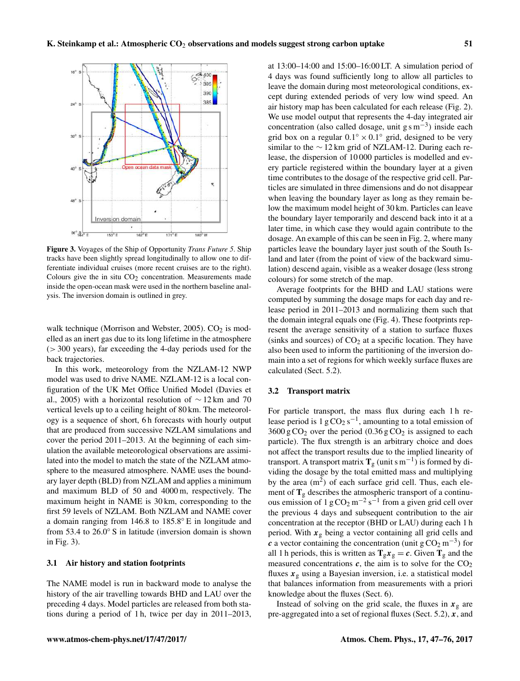

Figure 3. Voyages of the Ship of Opportunity *Trans Future 5*. Ship tracks have been slightly spread longitudinally to allow one to differentiate individual cruises (more recent cruises are to the right). Colours give the in situ  $CO<sub>2</sub>$  concentration. Measurements made inside the open-ocean mask were used in the northern baseline analysis. The inversion domain is outlined in grey.

walk technique (Morrison and Webster, 2005).  $CO<sub>2</sub>$  is modelled as an inert gas due to its long lifetime in the atmosphere  $(> 300 \text{ years})$ , far exceeding the 4-day periods used for the back trajectories.

In this work, meteorology from the NZLAM-12 NWP model was used to drive NAME. NZLAM-12 is a local configuration of the UK Met Office Unified Model (Davies et al., 2005) with a horizontal resolution of  $\sim$  12 km and 70 vertical levels up to a ceiling height of 80 km. The meteorology is a sequence of short, 6 h forecasts with hourly output that are produced from successive NZLAM simulations and cover the period 2011–2013. At the beginning of each simulation the available meteorological observations are assimilated into the model to match the state of the NZLAM atmosphere to the measured atmosphere. NAME uses the boundary layer depth (BLD) from NZLAM and applies a minimum and maximum BLD of 50 and 4000 m, respectively. The maximum height in NAME is 30 km, corresponding to the first 59 levels of NZLAM. Both NZLAM and NAME cover a domain ranging from 146.8 to 185.8◦ E in longitude and from 53.4 to 26.0° S in latitude (inversion domain is shown in Fig. 3).

## 3.1 Air history and station footprints

The NAME model is run in backward mode to analyse the history of the air travelling towards BHD and LAU over the preceding 4 days. Model particles are released from both stations during a period of 1 h, twice per day in 2011–2013, at 13:00–14:00 and 15:00–16:00 LT. A simulation period of 4 days was found sufficiently long to allow all particles to leave the domain during most meteorological conditions, except during extended periods of very low wind speed. An air history map has been calculated for each release (Fig. 2). We use model output that represents the 4-day integrated air concentration (also called dosage, unit  $g s m^{-3}$ ) inside each grid box on a regular  $0.1° \times 0.1°$  grid, designed to be very similar to the  $\sim$  12 km grid of NZLAM-12. During each release, the dispersion of 10 000 particles is modelled and every particle registered within the boundary layer at a given time contributes to the dosage of the respective grid cell. Particles are simulated in three dimensions and do not disappear when leaving the boundary layer as long as they remain below the maximum model height of 30 km. Particles can leave the boundary layer temporarily and descend back into it at a later time, in which case they would again contribute to the dosage. An example of this can be seen in Fig. 2, where many particles leave the boundary layer just south of the South Island and later (from the point of view of the backward simulation) descend again, visible as a weaker dosage (less strong colours) for some stretch of the map.

Average footprints for the BHD and LAU stations were computed by summing the dosage maps for each day and release period in 2011–2013 and normalizing them such that the domain integral equals one (Fig. 4). These footprints represent the average sensitivity of a station to surface fluxes (sinks and sources) of  $CO<sub>2</sub>$  at a specific location. They have also been used to inform the partitioning of the inversion domain into a set of regions for which weekly surface fluxes are calculated (Sect. 5.2).

#### 3.2 Transport matrix

For particle transport, the mass flux during each 1 h release period is  $1 gCO<sub>2</sub> s<sup>-1</sup>$ , amounting to a total emission of  $3600 \text{ g }CO_2$  over the period  $(0.36 \text{ g }CO_2)$  is assigned to each particle). The flux strength is an arbitrary choice and does not affect the transport results due to the implied linearity of transport. A transport matrix  $T_g$  (unit s m<sup>-1</sup>) is formed by dividing the dosage by the total emitted mass and multiplying by the area  $(m<sup>2</sup>)$  of each surface grid cell. Thus, each element of  $T_g$  describes the atmospheric transport of a continuous emission of 1 g  $CO_2$  m<sup>-2</sup> s<sup>-1</sup> from a given grid cell over the previous 4 days and subsequent contribution to the air concentration at the receptor (BHD or LAU) during each 1 h period. With  $x_g$  being a vector containing all grid cells and c a vector containing the concentration (unit  $g \text{CO}_2 \text{ m}^{-3}$ ) for all 1 h periods, this is written as  $T_g x_g = c$ . Given  $T_g$  and the measured concentrations  $c$ , the aim is to solve for the  $CO<sub>2</sub>$ fluxes  $x_g$  using a Bayesian inversion, i.e. a statistical model that balances information from measurements with a priori knowledge about the fluxes (Sect. 6).

Instead of solving on the grid scale, the fluxes in  $x_{g}$  are pre-aggregated into a set of regional fluxes (Sect. 5.2),  $x$ , and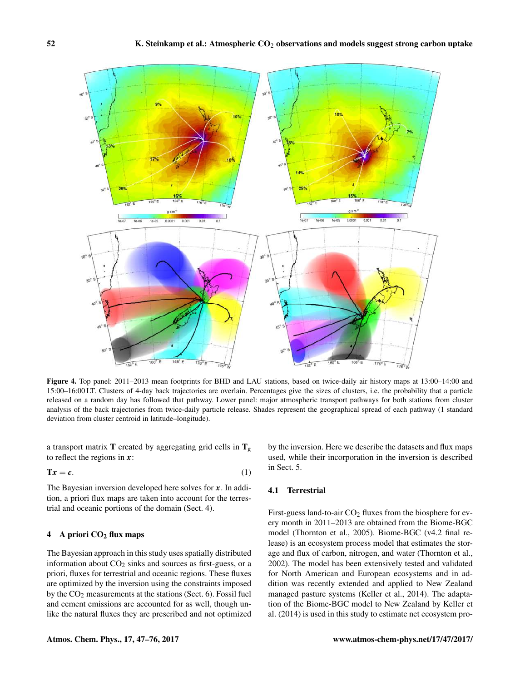

Figure 4. Top panel: 2011–2013 mean footprints for BHD and LAU stations, based on twice-daily air history maps at 13:00–14:00 and 15:00–16:00 LT. Clusters of 4-day back trajectories are overlain. Percentages give the sizes of clusters, i.e. the probability that a particle released on a random day has followed that pathway. Lower panel: major atmospheric transport pathways for both stations from cluster analysis of the back trajectories from twice-daily particle release. Shades represent the geographical spread of each pathway (1 standard deviation from cluster centroid in latitude–longitude).

a transport matrix T created by aggregating grid cells in  $T_g$ to reflect the regions in  $x$ :

$$
Tx = c.
$$
 (1)

The Bayesian inversion developed here solves for  $x$ . In addition, a priori flux maps are taken into account for the terrestrial and oceanic portions of the domain (Sect. 4).

# 4 A priori  $CO<sub>2</sub>$  flux maps

The Bayesian approach in this study uses spatially distributed information about  $CO<sub>2</sub>$  sinks and sources as first-guess, or a priori, fluxes for terrestrial and oceanic regions. These fluxes are optimized by the inversion using the constraints imposed by the CO<sup>2</sup> measurements at the stations (Sect. 6). Fossil fuel and cement emissions are accounted for as well, though unlike the natural fluxes they are prescribed and not optimized by the inversion. Here we describe the datasets and flux maps used, while their incorporation in the inversion is described in Sect. 5.

# 4.1 Terrestrial

First-guess land-to-air  $CO<sub>2</sub>$  fluxes from the biosphere for every month in 2011–2013 are obtained from the Biome-BGC model (Thornton et al., 2005). Biome-BGC (v4.2 final release) is an ecosystem process model that estimates the storage and flux of carbon, nitrogen, and water (Thornton et al., 2002). The model has been extensively tested and validated for North American and European ecosystems and in addition was recently extended and applied to New Zealand managed pasture systems (Keller et al., 2014). The adaptation of the Biome-BGC model to New Zealand by Keller et al. (2014) is used in this study to estimate net ecosystem pro-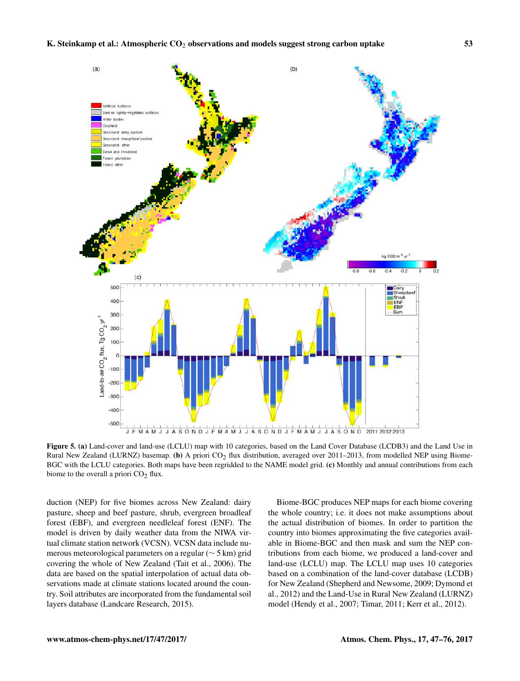

Figure 5. (a) Land-cover and land-use (LCLU) map with 10 categories, based on the Land Cover Database (LCDB3) and the Land Use in Rural New Zealand (LURNZ) basemap. (b) A priori CO<sub>2</sub> flux distribution, averaged over 2011–2013, from modelled NEP using Biome-BGC with the LCLU categories. Both maps have been regridded to the NAME model grid. (c) Monthly and annual contributions from each biome to the overall a priori  $CO<sub>2</sub>$  flux.

duction (NEP) for five biomes across New Zealand: dairy pasture, sheep and beef pasture, shrub, evergreen broadleaf forest (EBF), and evergreen needleleaf forest (ENF). The model is driven by daily weather data from the NIWA virtual climate station network (VCSN). VCSN data include numerous meteorological parameters on a regular (∼ 5 km) grid covering the whole of New Zealand (Tait et al., 2006). The data are based on the spatial interpolation of actual data observations made at climate stations located around the country. Soil attributes are incorporated from the fundamental soil layers database (Landcare Research, 2015).

Biome-BGC produces NEP maps for each biome covering the whole country; i.e. it does not make assumptions about the actual distribution of biomes. In order to partition the country into biomes approximating the five categories available in Biome-BGC and then mask and sum the NEP contributions from each biome, we produced a land-cover and land-use (LCLU) map. The LCLU map uses 10 categories based on a combination of the land-cover database (LCDB) for New Zealand (Shepherd and Newsome, 2009; Dymond et al., 2012) and the Land-Use in Rural New Zealand (LURNZ) model (Hendy et al., 2007; Timar, 2011; Kerr et al., 2012).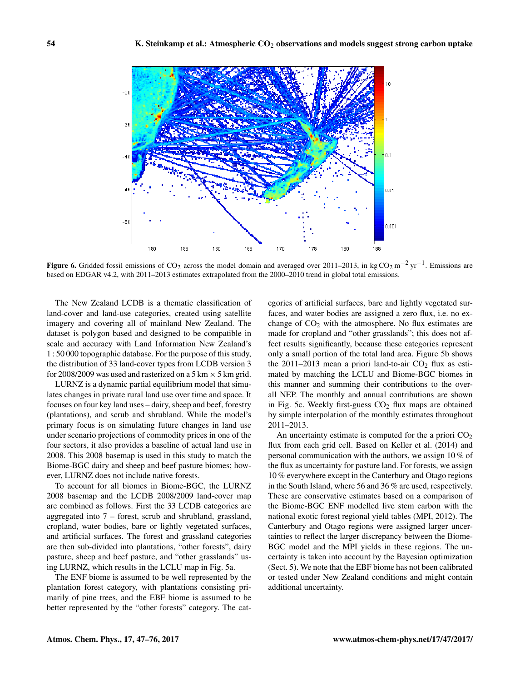

Figure 6. Gridded fossil emissions of CO<sub>2</sub> across the model domain and averaged over 2011–2013, in kg CO<sub>2</sub> m<sup>-2</sup> yr<sup>-1</sup>. Emissions are based on EDGAR v4.2, with 2011–2013 estimates extrapolated from the 2000–2010 trend in global total emissions.

The New Zealand LCDB is a thematic classification of land-cover and land-use categories, created using satellite imagery and covering all of mainland New Zealand. The dataset is polygon based and designed to be compatible in scale and accuracy with Land Information New Zealand's 1 : 50 000 topographic database. For the purpose of this study, the distribution of 33 land-cover types from LCDB version 3 for 2008/2009 was used and rasterized on a  $5 \text{ km} \times 5 \text{ km}$  grid.

LURNZ is a dynamic partial equilibrium model that simulates changes in private rural land use over time and space. It focuses on four key land uses – dairy, sheep and beef, forestry (plantations), and scrub and shrubland. While the model's primary focus is on simulating future changes in land use under scenario projections of commodity prices in one of the four sectors, it also provides a baseline of actual land use in 2008. This 2008 basemap is used in this study to match the Biome-BGC dairy and sheep and beef pasture biomes; however, LURNZ does not include native forests.

To account for all biomes in Biome-BGC, the LURNZ 2008 basemap and the LCDB 2008/2009 land-cover map are combined as follows. First the 33 LCDB categories are aggregated into 7 – forest, scrub and shrubland, grassland, cropland, water bodies, bare or lightly vegetated surfaces, and artificial surfaces. The forest and grassland categories are then sub-divided into plantations, "other forests", dairy pasture, sheep and beef pasture, and "other grasslands" using LURNZ, which results in the LCLU map in Fig. 5a.

The ENF biome is assumed to be well represented by the plantation forest category, with plantations consisting primarily of pine trees, and the EBF biome is assumed to be better represented by the "other forests" category. The cat-

egories of artificial surfaces, bare and lightly vegetated surfaces, and water bodies are assigned a zero flux, i.e. no exchange of  $CO<sub>2</sub>$  with the atmosphere. No flux estimates are made for cropland and "other grasslands"; this does not affect results significantly, because these categories represent only a small portion of the total land area. Figure 5b shows the 2011–2013 mean a priori land-to-air  $CO<sub>2</sub>$  flux as estimated by matching the LCLU and Biome-BGC biomes in this manner and summing their contributions to the overall NEP. The monthly and annual contributions are shown in Fig. 5c. Weekly first-guess  $CO<sub>2</sub>$  flux maps are obtained by simple interpolation of the monthly estimates throughout 2011–2013.

An uncertainty estimate is computed for the a priori  $CO<sub>2</sub>$ flux from each grid cell. Based on Keller et al. (2014) and personal communication with the authors, we assign 10 % of the flux as uncertainty for pasture land. For forests, we assign 10 % everywhere except in the Canterbury and Otago regions in the South Island, where 56 and 36 % are used, respectively. These are conservative estimates based on a comparison of the Biome-BGC ENF modelled live stem carbon with the national exotic forest regional yield tables (MPI, 2012). The Canterbury and Otago regions were assigned larger uncertainties to reflect the larger discrepancy between the Biome-BGC model and the MPI yields in these regions. The uncertainty is taken into account by the Bayesian optimization (Sect. 5). We note that the EBF biome has not been calibrated or tested under New Zealand conditions and might contain additional uncertainty.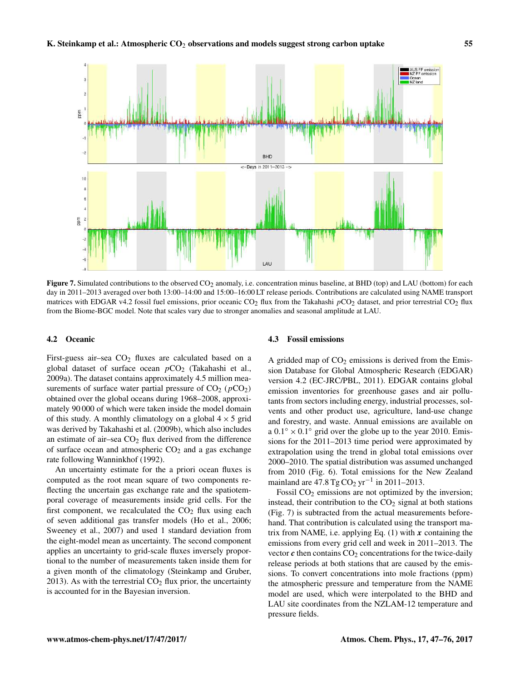

Figure 7. Simulated contributions to the observed  $CO<sub>2</sub>$  anomaly, i.e. concentration minus baseline, at BHD (top) and LAU (bottom) for each day in 2011–2013 averaged over both 13:00–14:00 and 15:00–16:00 LT release periods. Contributions are calculated using NAME transport matrices with EDGAR v4.2 fossil fuel emissions, prior oceanic  $CO_2$  flux from the Takahashi  $pCO_2$  dataset, and prior terrestrial  $CO_2$  flux from the Biome-BGC model. Note that scales vary due to stronger anomalies and seasonal amplitude at LAU.

# 4.2 Oceanic

First-guess air–sea  $CO<sub>2</sub>$  fluxes are calculated based on a global dataset of surface ocean  $pCO<sub>2</sub>$  (Takahashi et al., 2009a). The dataset contains approximately 4.5 million measurements of surface water partial pressure of  $CO<sub>2</sub>$  ( $pCO<sub>2</sub>$ ) obtained over the global oceans during 1968–2008, approximately 90 000 of which were taken inside the model domain of this study. A monthly climatology on a global  $4 \times 5$  grid was derived by Takahashi et al. (2009b), which also includes an estimate of air–sea  $CO<sub>2</sub>$  flux derived from the difference of surface ocean and atmospheric  $CO<sub>2</sub>$  and a gas exchange rate following Wanninkhof (1992).

An uncertainty estimate for the a priori ocean fluxes is computed as the root mean square of two components reflecting the uncertain gas exchange rate and the spatiotemporal coverage of measurements inside grid cells. For the first component, we recalculated the  $CO<sub>2</sub>$  flux using each of seven additional gas transfer models (Ho et al., 2006; Sweeney et al., 2007) and used 1 standard deviation from the eight-model mean as uncertainty. The second component applies an uncertainty to grid-scale fluxes inversely proportional to the number of measurements taken inside them for a given month of the climatology (Steinkamp and Gruber, 2013). As with the terrestrial  $CO<sub>2</sub>$  flux prior, the uncertainty is accounted for in the Bayesian inversion.

#### 4.3 Fossil emissions

A gridded map of  $CO<sub>2</sub>$  emissions is derived from the Emission Database for Global Atmospheric Research (EDGAR) version 4.2 (EC-JRC/PBL, 2011). EDGAR contains global emission inventories for greenhouse gases and air pollutants from sectors including energy, industrial processes, solvents and other product use, agriculture, land-use change and forestry, and waste. Annual emissions are available on a  $0.1° \times 0.1°$  grid over the globe up to the year 2010. Emissions for the 2011–2013 time period were approximated by extrapolation using the trend in global total emissions over 2000–2010. The spatial distribution was assumed unchanged from 2010 (Fig. 6). Total emissions for the New Zealand mainland are  $47.8 \text{ Tg} \text{CO}_2 \text{ yr}^{-1}$  in 2011–2013.

Fossil  $CO<sub>2</sub>$  emissions are not optimized by the inversion; instead, their contribution to the  $CO<sub>2</sub>$  signal at both stations (Fig. 7) is subtracted from the actual measurements beforehand. That contribution is calculated using the transport matrix from NAME, i.e. applying Eq.  $(1)$  with x containing the emissions from every grid cell and week in 2011–2013. The vector  $\boldsymbol{c}$  then contains  $CO<sub>2</sub>$  concentrations for the twice-daily release periods at both stations that are caused by the emissions. To convert concentrations into mole fractions (ppm) the atmospheric pressure and temperature from the NAME model are used, which were interpolated to the BHD and LAU site coordinates from the NZLAM-12 temperature and pressure fields.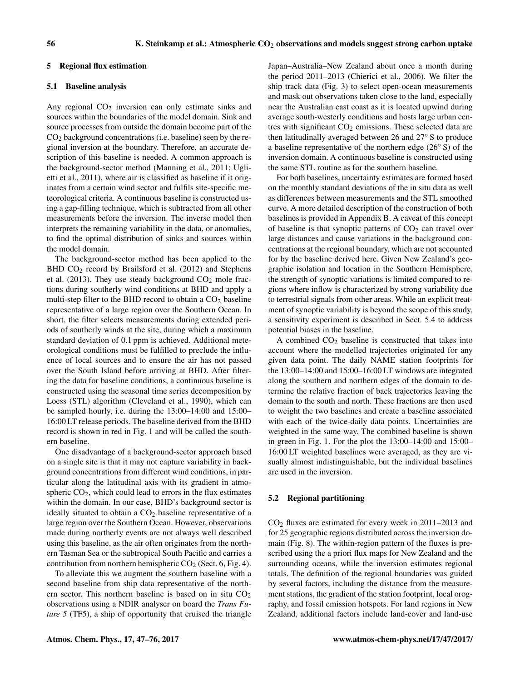#### 5 Regional flux estimation

#### 5.1 Baseline analysis

Any regional  $CO<sub>2</sub>$  inversion can only estimate sinks and sources within the boundaries of the model domain. Sink and source processes from outside the domain become part of the  $CO<sub>2</sub>$  background concentrations (i.e. baseline) seen by the regional inversion at the boundary. Therefore, an accurate description of this baseline is needed. A common approach is the background-sector method (Manning et al., 2011; Uglietti et al., 2011), where air is classified as baseline if it originates from a certain wind sector and fulfils site-specific meteorological criteria. A continuous baseline is constructed using a gap-filling technique, which is subtracted from all other measurements before the inversion. The inverse model then interprets the remaining variability in the data, or anomalies, to find the optimal distribution of sinks and sources within the model domain.

The background-sector method has been applied to the BHD CO<sub>2</sub> record by Brailsford et al. (2012) and Stephens et al. (2013). They use steady background  $CO<sub>2</sub>$  mole fractions during southerly wind conditions at BHD and apply a multi-step filter to the BHD record to obtain a  $CO<sub>2</sub>$  baseline representative of a large region over the Southern Ocean. In short, the filter selects measurements during extended periods of southerly winds at the site, during which a maximum standard deviation of 0.1 ppm is achieved. Additional meteorological conditions must be fulfilled to preclude the influence of local sources and to ensure the air has not passed over the South Island before arriving at BHD. After filtering the data for baseline conditions, a continuous baseline is constructed using the seasonal time series decomposition by Loess (STL) algorithm (Cleveland et al., 1990), which can be sampled hourly, i.e. during the 13:00–14:00 and 15:00– 16:00 LT release periods. The baseline derived from the BHD record is shown in red in Fig. 1 and will be called the southern baseline.

One disadvantage of a background-sector approach based on a single site is that it may not capture variability in background concentrations from different wind conditions, in particular along the latitudinal axis with its gradient in atmospheric  $CO<sub>2</sub>$ , which could lead to errors in the flux estimates within the domain. In our case, BHD's background sector is ideally situated to obtain a  $CO<sub>2</sub>$  baseline representative of a large region over the Southern Ocean. However, observations made during northerly events are not always well described using this baseline, as the air often originates from the northern Tasman Sea or the subtropical South Pacific and carries a contribution from northern hemispheric  $CO<sub>2</sub>$  (Sect. 6, Fig. 4).

To alleviate this we augment the southern baseline with a second baseline from ship data representative of the northern sector. This northern baseline is based on in situ  $CO<sub>2</sub>$ observations using a NDIR analyser on board the *Trans Future 5* (TF5), a ship of opportunity that cruised the triangle Japan–Australia–New Zealand about once a month during the period 2011–2013 (Chierici et al., 2006). We filter the ship track data (Fig. 3) to select open-ocean measurements and mask out observations taken close to the land, especially near the Australian east coast as it is located upwind during average south-westerly conditions and hosts large urban centres with significant  $CO<sub>2</sub>$  emissions. These selected data are then latitudinally averaged between 26 and 27◦ S to produce a baseline representative of the northern edge (26◦ S) of the inversion domain. A continuous baseline is constructed using the same STL routine as for the southern baseline.

For both baselines, uncertainty estimates are formed based on the monthly standard deviations of the in situ data as well as differences between measurements and the STL smoothed curve. A more detailed description of the construction of both baselines is provided in Appendix B. A caveat of this concept of baseline is that synoptic patterns of  $CO<sub>2</sub>$  can travel over large distances and cause variations in the background concentrations at the regional boundary, which are not accounted for by the baseline derived here. Given New Zealand's geographic isolation and location in the Southern Hemisphere, the strength of synoptic variations is limited compared to regions where inflow is characterized by strong variability due to terrestrial signals from other areas. While an explicit treatment of synoptic variability is beyond the scope of this study, a sensitivity experiment is described in Sect. 5.4 to address potential biases in the baseline.

A combined  $CO<sub>2</sub>$  baseline is constructed that takes into account where the modelled trajectories originated for any given data point. The daily NAME station footprints for the 13:00–14:00 and 15:00–16:00 LT windows are integrated along the southern and northern edges of the domain to determine the relative fraction of back trajectories leaving the domain to the south and north. These fractions are then used to weight the two baselines and create a baseline associated with each of the twice-daily data points. Uncertainties are weighted in the same way. The combined baseline is shown in green in Fig. 1. For the plot the 13:00–14:00 and 15:00– 16:00 LT weighted baselines were averaged, as they are visually almost indistinguishable, but the individual baselines are used in the inversion.

## 5.2 Regional partitioning

 $CO<sub>2</sub>$  fluxes are estimated for every week in 2011–2013 and for 25 geographic regions distributed across the inversion domain (Fig. 8). The within-region pattern of the fluxes is prescribed using the a priori flux maps for New Zealand and the surrounding oceans, while the inversion estimates regional totals. The definition of the regional boundaries was guided by several factors, including the distance from the measurement stations, the gradient of the station footprint, local orography, and fossil emission hotspots. For land regions in New Zealand, additional factors include land-cover and land-use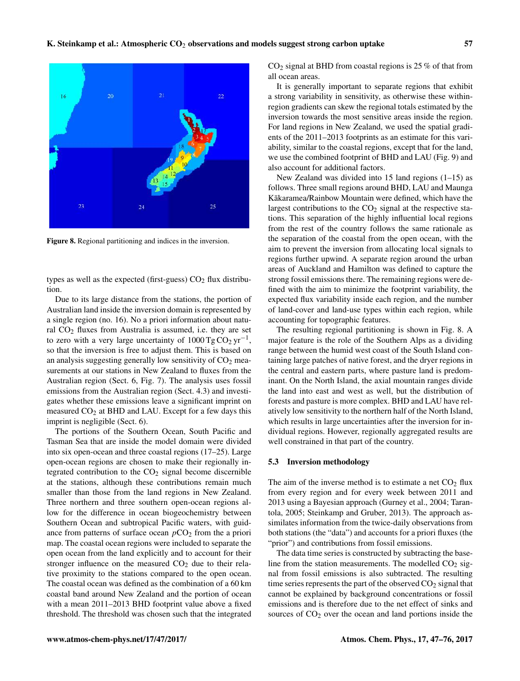

Figure 8. Regional partitioning and indices in the inversion.

types as well as the expected (first-guess)  $CO<sub>2</sub>$  flux distribution.

Due to its large distance from the stations, the portion of Australian land inside the inversion domain is represented by a single region (no. 16). No a priori information about natural  $CO<sub>2</sub>$  fluxes from Australia is assumed, i.e. they are set to zero with a very large uncertainty of  $1000 \text{ Tg} \text{CO}_2 \text{ yr}^{-1}$ , so that the inversion is free to adjust them. This is based on an analysis suggesting generally low sensitivity of  $CO<sub>2</sub>$  measurements at our stations in New Zealand to fluxes from the Australian region (Sect. 6, Fig. 7). The analysis uses fossil emissions from the Australian region (Sect. 4.3) and investigates whether these emissions leave a significant imprint on measured  $CO<sub>2</sub>$  at BHD and LAU. Except for a few days this imprint is negligible (Sect. 6).

The portions of the Southern Ocean, South Pacific and Tasman Sea that are inside the model domain were divided into six open-ocean and three coastal regions (17–25). Large open-ocean regions are chosen to make their regionally integrated contribution to the  $CO<sub>2</sub>$  signal become discernible at the stations, although these contributions remain much smaller than those from the land regions in New Zealand. Three northern and three southern open-ocean regions allow for the difference in ocean biogeochemistry between Southern Ocean and subtropical Pacific waters, with guidance from patterns of surface ocean  $pCO<sub>2</sub>$  from the a priori map. The coastal ocean regions were included to separate the open ocean from the land explicitly and to account for their stronger influence on the measured  $CO<sub>2</sub>$  due to their relative proximity to the stations compared to the open ocean. The coastal ocean was defined as the combination of a 60 km coastal band around New Zealand and the portion of ocean with a mean 2011–2013 BHD footprint value above a fixed threshold. The threshold was chosen such that the integrated  $CO<sub>2</sub>$  signal at BHD from coastal regions is 25 % of that from all ocean areas.

It is generally important to separate regions that exhibit a strong variability in sensitivity, as otherwise these withinregion gradients can skew the regional totals estimated by the inversion towards the most sensitive areas inside the region. For land regions in New Zealand, we used the spatial gradients of the 2011–2013 footprints as an estimate for this variability, similar to the coastal regions, except that for the land, we use the combined footprint of BHD and LAU (Fig. 9) and also account for additional factors.

New Zealand was divided into 15 land regions (1–15) as follows. Three small regions around BHD, LAU and Maunga Kākaramea/Rainbow Mountain were defined, which have the largest contributions to the  $CO<sub>2</sub>$  signal at the respective stations. This separation of the highly influential local regions from the rest of the country follows the same rationale as the separation of the coastal from the open ocean, with the aim to prevent the inversion from allocating local signals to regions further upwind. A separate region around the urban areas of Auckland and Hamilton was defined to capture the strong fossil emissions there. The remaining regions were defined with the aim to minimize the footprint variability, the expected flux variability inside each region, and the number of land-cover and land-use types within each region, while accounting for topographic features.

The resulting regional partitioning is shown in Fig. 8. A major feature is the role of the Southern Alps as a dividing range between the humid west coast of the South Island containing large patches of native forest, and the dryer regions in the central and eastern parts, where pasture land is predominant. On the North Island, the axial mountain ranges divide the land into east and west as well, but the distribution of forests and pasture is more complex. BHD and LAU have relatively low sensitivity to the northern half of the North Island, which results in large uncertainties after the inversion for individual regions. However, regionally aggregated results are well constrained in that part of the country.

#### 5.3 Inversion methodology

The aim of the inverse method is to estimate a net  $CO<sub>2</sub>$  flux from every region and for every week between 2011 and 2013 using a Bayesian approach (Gurney et al., 2004; Tarantola, 2005; Steinkamp and Gruber, 2013). The approach assimilates information from the twice-daily observations from both stations (the "data") and accounts for a priori fluxes (the "prior") and contributions from fossil emissions.

The data time series is constructed by subtracting the baseline from the station measurements. The modelled  $CO<sub>2</sub>$  signal from fossil emissions is also subtracted. The resulting time series represents the part of the observed  $CO<sub>2</sub>$  signal that cannot be explained by background concentrations or fossil emissions and is therefore due to the net effect of sinks and sources of  $CO<sub>2</sub>$  over the ocean and land portions inside the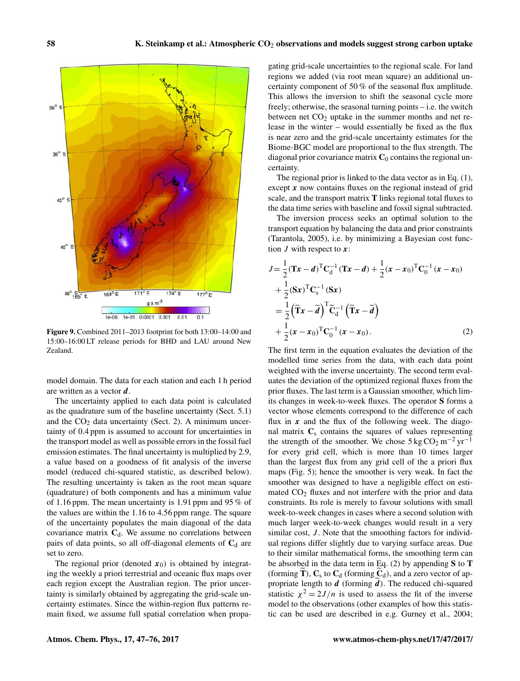

Figure 9. Combined 2011–2013 footprint for both 13:00–14:00 and 15:00–16:00 LT release periods for BHD and LAU around New Zealand.

model domain. The data for each station and each 1 h period are written as a vector d.

The uncertainty applied to each data point is calculated as the quadrature sum of the baseline uncertainty (Sect. 5.1) and the  $CO<sub>2</sub>$  data uncertainty (Sect. 2). A minimum uncertainty of 0.4 ppm is assumed to account for uncertainties in the transport model as well as possible errors in the fossil fuel emission estimates. The final uncertainty is multiplied by 2.9, a value based on a goodness of fit analysis of the inverse model (reduced chi-squared statistic, as described below). The resulting uncertainty is taken as the root mean square (quadrature) of both components and has a minimum value of 1.16 ppm. The mean uncertainty is 1.91 ppm and 95 % of the values are within the 1.16 to 4.56 ppm range. The square of the uncertainty populates the main diagonal of the data covariance matrix  $C_d$ . We assume no correlations between pairs of data points, so all off-diagonal elements of  $C_d$  are set to zero.

The regional prior (denoted  $x_0$ ) is obtained by integrating the weekly a priori terrestrial and oceanic flux maps over each region except the Australian region. The prior uncertainty is similarly obtained by aggregating the grid-scale uncertainty estimates. Since the within-region flux patterns remain fixed, we assume full spatial correlation when propa-

gating grid-scale uncertainties to the regional scale. For land regions we added (via root mean square) an additional uncertainty component of 50 % of the seasonal flux amplitude. This allows the inversion to shift the seasonal cycle more freely; otherwise, the seasonal turning points – i.e. the switch between net  $CO<sub>2</sub>$  uptake in the summer months and net release in the winter – would essentially be fixed as the flux is near zero and the grid-scale uncertainty estimates for the Biome-BGC model are proportional to the flux strength. The diagonal prior covariance matrix  $C_0$  contains the regional uncertainty.

The regional prior is linked to the data vector as in Eq. (1), except  $x$  now contains fluxes on the regional instead of grid scale, and the transport matrix T links regional total fluxes to the data time series with baseline and fossil signal subtracted.

The inversion process seeks an optimal solution to the transport equation by balancing the data and prior constraints (Tarantola, 2005), i.e. by minimizing a Bayesian cost function  $J$  with respect to  $x$ :

$$
J = \frac{1}{2} (\mathbf{T} \mathbf{x} - \mathbf{d})^{\mathrm{T}} \mathbf{C}_{d}^{-1} (\mathbf{T} \mathbf{x} - \mathbf{d}) + \frac{1}{2} (\mathbf{x} - \mathbf{x}_0)^{\mathrm{T}} \mathbf{C}_{0}^{-1} (\mathbf{x} - \mathbf{x}_0)
$$
  
+ 
$$
\frac{1}{2} (\mathbf{S} \mathbf{x})^{\mathrm{T}} \mathbf{C}_{s}^{-1} (\mathbf{S} \mathbf{x})
$$
  
= 
$$
\frac{1}{2} (\widetilde{\mathbf{T}} \mathbf{x} - \widetilde{\mathbf{d}})^{\mathrm{T}} \widetilde{\mathbf{C}}_{d}^{-1} (\widetilde{\mathbf{T}} \mathbf{x} - \widetilde{\mathbf{d}})
$$
  
+ 
$$
\frac{1}{2} (\mathbf{x} - \mathbf{x}_0)^{\mathrm{T}} \mathbf{C}_{0}^{-1} (\mathbf{x} - \mathbf{x}_0).
$$
 (2)

The first term in the equation evaluates the deviation of the modelled time series from the data, with each data point weighted with the inverse uncertainty. The second term evaluates the deviation of the optimized regional fluxes from the prior fluxes. The last term is a Gaussian smoother, which limits changes in week-to-week fluxes. The operator S forms a vector whose elements correspond to the difference of each flux in  $x$  and the flux of the following week. The diagonal matrix  $C_s$  contains the squares of values representing the strength of the smoother. We chose  $5 \text{ kg CO}_2 \text{ m}^{-2} \text{ yr}^{-1}$ for every grid cell, which is more than 10 times larger than the largest flux from any grid cell of the a priori flux maps (Fig. 5); hence the smoother is very weak. In fact the smoother was designed to have a negligible effect on estimated  $CO<sub>2</sub>$  fluxes and not interfere with the prior and data constraints. Its role is merely to favour solutions with small week-to-week changes in cases where a second solution with much larger week-to-week changes would result in a very similar cost,  $J$ . Note that the smoothing factors for individual regions differ slightly due to varying surface areas. Due to their similar mathematical forms, the smoothing term can be absorbed in the data term in Eq.  $(2)$  by appending S to T (forming T),  $C_s$  to  $C_d$  (forming  $C_d$ ), and a zero vector of appropriate length to  $d$  (forming  $d$ ). The reduced chi-squared statistic  $\chi^2 = 2J/n$  is used to assess the fit of the inverse model to the observations (other examples of how this statistic can be used are described in e.g. Gurney et al., 2004;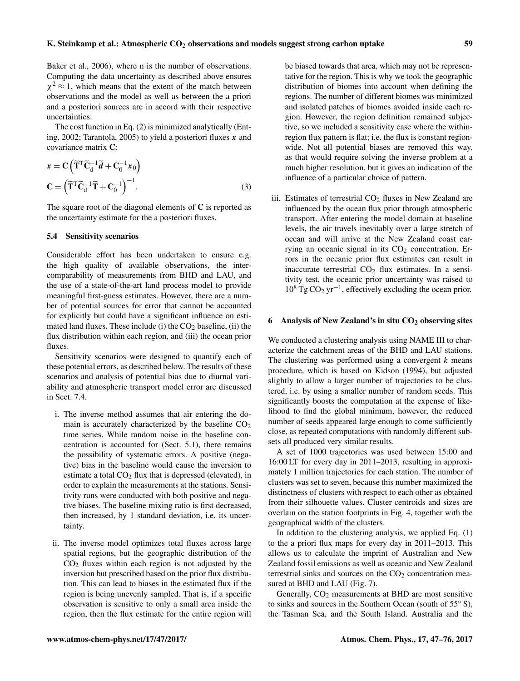Baker et al., 2006), where n is the number of observations. Computing the data uncertainty as described above ensures  $\chi^2 \approx 1$ , which means that the extent of the match between observations and the model as well as between the a priori and a posteriori sources are in accord with their respective uncertainties.

The cost function in Eq. (2) is minimized analytically (Enting, 2002; Tarantola, 2005) to yield a posteriori fluxes  $x$  and covariance matrix C:

$$
\mathbf{x} = \mathbf{C} \left( \widetilde{\mathbf{T}}^{\mathrm{T}} \widetilde{\mathbf{C}}_{\mathrm{d}}^{-1} \widetilde{\mathbf{d}} + \mathbf{C}_{0}^{-1} \mathbf{x}_{0} \right)
$$

$$
\mathbf{C} = \left( \widetilde{\mathbf{T}}^{\mathrm{T}} \widetilde{\mathbf{C}}_{\mathrm{d}}^{-1} \widetilde{\mathbf{T}} + \mathbf{C}_{0}^{-1} \right)^{-1} . \tag{3}
$$

The square root of the diagonal elements of  $C$  is reported as the uncertainty estimate for the a posteriori fluxes.

## 5.4 Sensitivity scenarios

Considerable effort has been undertaken to ensure e.g. the high quality of available observations, the intercomparability of measurements from BHD and LAU, and the use of a state-of-the-art land process model to provide meaningful first-guess estimates. However, there are a number of potential sources for error that cannot be accounted for explicitly but could have a significant influence on estimated land fluxes. These include (i) the  $CO<sub>2</sub>$  baseline, (ii) the flux distribution within each region, and (iii) the ocean prior fluxes.

Sensitivity scenarios were designed to quantify each of these potential errors, as described below. The results of these scenarios and analysis of potential bias due to diurnal variability and atmospheric transport model error are discussed in Sect. 7.4.

- i. The inverse method assumes that air entering the domain is accurately characterized by the baseline  $CO<sub>2</sub>$ time series. While random noise in the baseline concentration is accounted for (Sect. 5.1), there remains the possibility of systematic errors. A positive (negative) bias in the baseline would cause the inversion to estimate a total  $CO<sub>2</sub>$  flux that is depressed (elevated), in order to explain the measurements at the stations. Sensitivity runs were conducted with both positive and negative biases. The baseline mixing ratio is first decreased, then increased, by 1 standard deviation, i.e. its uncertainty.
- ii. The inverse model optimizes total fluxes across large spatial regions, but the geographic distribution of the  $CO<sub>2</sub>$  fluxes within each region is not adjusted by the inversion but prescribed based on the prior flux distribution. This can lead to biases in the estimated flux if the region is being unevenly sampled. That is, if a specific observation is sensitive to only a small area inside the region, then the flux estimate for the entire region will

be biased towards that area, which may not be representative for the region. This is why we took the geographic distribution of biomes into account when defining the regions. The number of different biomes was minimized and isolated patches of biomes avoided inside each region. However, the region definition remained subjective, so we included a sensitivity case where the withinregion flux pattern is flat; i.e. the flux is constant regionwide. Not all potential biases are removed this way, as that would require solving the inverse problem at a much higher resolution, but it gives an indication of the influence of a particular choice of pattern.

iii. Estimates of terrestrial  $CO<sub>2</sub>$  fluxes in New Zealand are influenced by the ocean flux prior through atmospheric transport. After entering the model domain at baseline levels, the air travels inevitably over a large stretch of ocean and will arrive at the New Zealand coast carrying an oceanic signal in its  $CO<sub>2</sub>$  concentration. Errors in the oceanic prior flux estimates can result in inaccurate terrestrial  $CO<sub>2</sub>$  flux estimates. In a sensitivity test, the oceanic prior uncertainty was raised to 10<sup>8</sup> Tg CO<sup>2</sup> yr−<sup>1</sup> , effectively excluding the ocean prior.

#### 6 Analysis of New Zealand's in situ  $CO<sub>2</sub>$  observing sites

We conducted a clustering analysis using NAME III to characterize the catchment areas of the BHD and LAU stations. The clustering was performed using a convergent  $k$  means procedure, which is based on Kidson (1994), but adjusted slightly to allow a larger number of trajectories to be clustered, i.e. by using a smaller number of random seeds. This significantly boosts the computation at the expense of likelihood to find the global minimum, however, the reduced number of seeds appeared large enough to come sufficiently close, as repeated computations with randomly different subsets all produced very similar results.

A set of 1000 trajectories was used between 15:00 and 16:00 LT for every day in 2011–2013, resulting in approximately 1 million trajectories for each station. The number of clusters was set to seven, because this number maximized the distinctness of clusters with respect to each other as obtained from their silhouette values. Cluster centroids and sizes are overlain on the station footprints in Fig. 4, together with the geographical width of the clusters.

In addition to the clustering analysis, we applied Eq. (1) to the a priori flux maps for every day in 2011–2013. This allows us to calculate the imprint of Australian and New Zealand fossil emissions as well as oceanic and New Zealand terrestrial sinks and sources on the  $CO<sub>2</sub>$  concentration measured at BHD and LAU (Fig. 7).

Generally, CO<sub>2</sub> measurements at BHD are most sensitive to sinks and sources in the Southern Ocean (south of 55◦ S), the Tasman Sea, and the South Island. Australia and the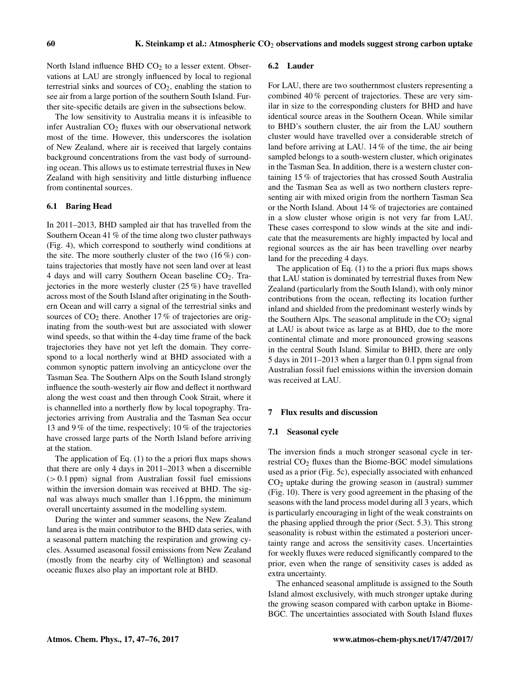North Island influence BHD  $CO<sub>2</sub>$  to a lesser extent. Observations at LAU are strongly influenced by local to regional terrestrial sinks and sources of  $CO<sub>2</sub>$ , enabling the station to see air from a large portion of the southern South Island. Further site-specific details are given in the subsections below.

The low sensitivity to Australia means it is infeasible to infer Australian  $CO<sub>2</sub>$  fluxes with our observational network most of the time. However, this underscores the isolation of New Zealand, where air is received that largely contains background concentrations from the vast body of surrounding ocean. This allows us to estimate terrestrial fluxes in New Zealand with high sensitivity and little disturbing influence from continental sources.

## 6.1 Baring Head

In 2011–2013, BHD sampled air that has travelled from the Southern Ocean 41 % of the time along two cluster pathways (Fig. 4), which correspond to southerly wind conditions at the site. The more southerly cluster of the two  $(16\%)$  contains trajectories that mostly have not seen land over at least 4 days and will carry Southern Ocean baseline  $CO<sub>2</sub>$ . Trajectories in the more westerly cluster (25 %) have travelled across most of the South Island after originating in the Southern Ocean and will carry a signal of the terrestrial sinks and sources of  $CO<sub>2</sub>$  there. Another 17% of trajectories are originating from the south-west but are associated with slower wind speeds, so that within the 4-day time frame of the back trajectories they have not yet left the domain. They correspond to a local northerly wind at BHD associated with a common synoptic pattern involving an anticyclone over the Tasman Sea. The Southern Alps on the South Island strongly influence the south-westerly air flow and deflect it northward along the west coast and then through Cook Strait, where it is channelled into a northerly flow by local topography. Trajectories arriving from Australia and the Tasman Sea occur 13 and 9 % of the time, respectively; 10 % of the trajectories have crossed large parts of the North Island before arriving at the station.

The application of Eq. (1) to the a priori flux maps shows that there are only 4 days in 2011–2013 when a discernible (> 0.1 ppm) signal from Australian fossil fuel emissions within the inversion domain was received at BHD. The signal was always much smaller than 1.16 ppm, the minimum overall uncertainty assumed in the modelling system.

During the winter and summer seasons, the New Zealand land area is the main contributor to the BHD data series, with a seasonal pattern matching the respiration and growing cycles. Assumed aseasonal fossil emissions from New Zealand (mostly from the nearby city of Wellington) and seasonal oceanic fluxes also play an important role at BHD.

#### 6.2 Lauder

For LAU, there are two southernmost clusters representing a combined 40 % percent of trajectories. These are very similar in size to the corresponding clusters for BHD and have identical source areas in the Southern Ocean. While similar to BHD's southern cluster, the air from the LAU southern cluster would have travelled over a considerable stretch of land before arriving at LAU. 14 % of the time, the air being sampled belongs to a south-western cluster, which originates in the Tasman Sea. In addition, there is a western cluster containing 15 % of trajectories that has crossed South Australia and the Tasman Sea as well as two northern clusters representing air with mixed origin from the northern Tasman Sea or the North Island. About 14 % of trajectories are contained in a slow cluster whose origin is not very far from LAU. These cases correspond to slow winds at the site and indicate that the measurements are highly impacted by local and regional sources as the air has been travelling over nearby land for the preceding 4 days.

The application of Eq. (1) to the a priori flux maps shows that LAU station is dominated by terrestrial fluxes from New Zealand (particularly from the South Island), with only minor contributions from the ocean, reflecting its location further inland and shielded from the predominant westerly winds by the Southern Alps. The seasonal amplitude in the  $CO<sub>2</sub>$  signal at LAU is about twice as large as at BHD, due to the more continental climate and more pronounced growing seasons in the central South Island. Similar to BHD, there are only 5 days in 2011–2013 when a larger than 0.1 ppm signal from Australian fossil fuel emissions within the inversion domain was received at LAU.

#### 7 Flux results and discussion

#### 7.1 Seasonal cycle

The inversion finds a much stronger seasonal cycle in terrestrial  $CO<sub>2</sub>$  fluxes than the Biome-BGC model simulations used as a prior (Fig. 5c), especially associated with enhanced  $CO<sub>2</sub>$  uptake during the growing season in (austral) summer (Fig. 10). There is very good agreement in the phasing of the seasons with the land process model during all 3 years, which is particularly encouraging in light of the weak constraints on the phasing applied through the prior (Sect. 5.3). This strong seasonality is robust within the estimated a posteriori uncertainty range and across the sensitivity cases. Uncertainties for weekly fluxes were reduced significantly compared to the prior, even when the range of sensitivity cases is added as extra uncertainty.

The enhanced seasonal amplitude is assigned to the South Island almost exclusively, with much stronger uptake during the growing season compared with carbon uptake in Biome-BGC. The uncertainties associated with South Island fluxes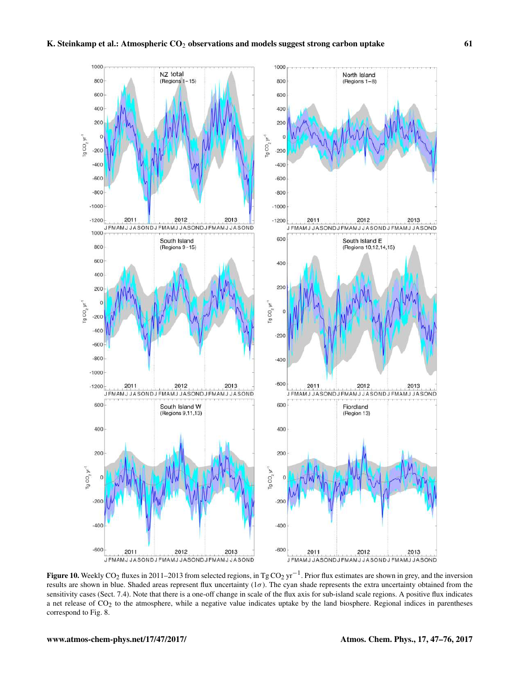

**Figure 10.** Weekly CO<sub>2</sub> fluxes in 2011–2013 from selected regions, in Tg CO<sub>2</sub> yr<sup>-1</sup>. Prior flux estimates are shown in grey, and the inversion results are shown in blue. Shaded areas represent flux uncertainty  $(1\sigma)$ . The cyan shade represents the extra uncertainty obtained from the sensitivity cases (Sect. 7.4). Note that there is a one-off change in scale of the flux axis for sub-island scale regions. A positive flux indicates a net release of CO<sub>2</sub> to the atmosphere, while a negative value indicates uptake by the land biosphere. Regional indices in parentheses correspond to Fig. 8.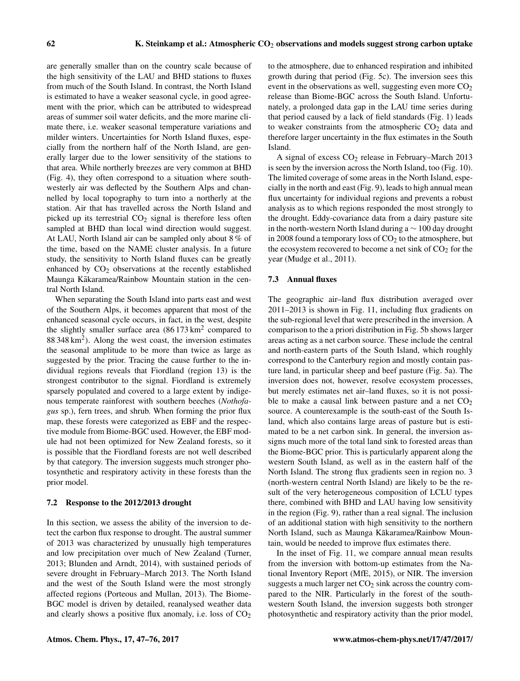are generally smaller than on the country scale because of the high sensitivity of the LAU and BHD stations to fluxes from much of the South Island. In contrast, the North Island is estimated to have a weaker seasonal cycle, in good agreement with the prior, which can be attributed to widespread areas of summer soil water deficits, and the more marine climate there, i.e. weaker seasonal temperature variations and milder winters. Uncertainties for North Island fluxes, especially from the northern half of the North Island, are generally larger due to the lower sensitivity of the stations to that area. While northerly breezes are very common at BHD (Fig. 4), they often correspond to a situation where southwesterly air was deflected by the Southern Alps and channelled by local topography to turn into a northerly at the station. Air that has travelled across the North Island and picked up its terrestrial  $CO<sub>2</sub>$  signal is therefore less often sampled at BHD than local wind direction would suggest. At LAU, North Island air can be sampled only about 8 % of the time, based on the NAME cluster analysis. In a future study, the sensitivity to North Island fluxes can be greatly enhanced by  $CO<sub>2</sub>$  observations at the recently established Maunga Kākaramea/Rainbow Mountain station in the central North Island.

When separating the South Island into parts east and west of the Southern Alps, it becomes apparent that most of the enhanced seasonal cycle occurs, in fact, in the west, despite the slightly smaller surface area  $(86173 \text{ km}^2 \text{ compared to})$ 88 348 km<sup>2</sup> ). Along the west coast, the inversion estimates the seasonal amplitude to be more than twice as large as suggested by the prior. Tracing the cause further to the individual regions reveals that Fiordland (region 13) is the strongest contributor to the signal. Fiordland is extremely sparsely populated and covered to a large extent by indigenous temperate rainforest with southern beeches (*Nothofagus* sp.), fern trees, and shrub. When forming the prior flux map, these forests were categorized as EBF and the respective module from Biome-BGC used. However, the EBF module had not been optimized for New Zealand forests, so it is possible that the Fiordland forests are not well described by that category. The inversion suggests much stronger photosynthetic and respiratory activity in these forests than the prior model.

## 7.2 Response to the 2012/2013 drought

In this section, we assess the ability of the inversion to detect the carbon flux response to drought. The austral summer of 2013 was characterized by unusually high temperatures and low precipitation over much of New Zealand (Turner, 2013; Blunden and Arndt, 2014), with sustained periods of severe drought in February–March 2013. The North Island and the west of the South Island were the most strongly affected regions (Porteous and Mullan, 2013). The Biome-BGC model is driven by detailed, reanalysed weather data and clearly shows a positive flux anomaly, i.e. loss of  $CO<sub>2</sub>$  to the atmosphere, due to enhanced respiration and inhibited growth during that period (Fig. 5c). The inversion sees this event in the observations as well, suggesting even more  $CO<sub>2</sub>$ release than Biome-BGC across the South Island. Unfortunately, a prolonged data gap in the LAU time series during that period caused by a lack of field standards (Fig. 1) leads to weaker constraints from the atmospheric  $CO<sub>2</sub>$  data and therefore larger uncertainty in the flux estimates in the South Island.

A signal of excess  $CO<sub>2</sub>$  release in February–March 2013 is seen by the inversion across the North Island, too (Fig. 10). The limited coverage of some areas in the North Island, especially in the north and east (Fig. 9), leads to high annual mean flux uncertainty for individual regions and prevents a robust analysis as to which regions responded the most strongly to the drought. Eddy-covariance data from a dairy pasture site in the north-western North Island during a ∼ 100 day drought in 2008 found a temporary loss of  $CO<sub>2</sub>$  to the atmosphere, but the ecosystem recovered to become a net sink of  $CO<sub>2</sub>$  for the year (Mudge et al., 2011).

#### 7.3 Annual fluxes

The geographic air–land flux distribution averaged over 2011–2013 is shown in Fig. 11, including flux gradients on the sub-regional level that were prescribed in the inversion. A comparison to the a priori distribution in Fig. 5b shows larger areas acting as a net carbon source. These include the central and north-eastern parts of the South Island, which roughly correspond to the Canterbury region and mostly contain pasture land, in particular sheep and beef pasture (Fig. 5a). The inversion does not, however, resolve ecosystem processes, but merely estimates net air–land fluxes, so it is not possible to make a causal link between pasture and a net  $CO<sub>2</sub>$ source. A counterexample is the south-east of the South Island, which also contains large areas of pasture but is estimated to be a net carbon sink. In general, the inversion assigns much more of the total land sink to forested areas than the Biome-BGC prior. This is particularly apparent along the western South Island, as well as in the eastern half of the North Island. The strong flux gradients seen in region no. 3 (north-western central North Island) are likely to be the result of the very heterogeneous composition of LCLU types there, combined with BHD and LAU having low sensitivity in the region (Fig. 9), rather than a real signal. The inclusion of an additional station with high sensitivity to the northern North Island, such as Maunga Kākaramea/Rainbow Mountain, would be needed to improve flux estimates there.

In the inset of Fig. 11, we compare annual mean results from the inversion with bottom-up estimates from the National Inventory Report (MfE, 2015), or NIR. The inversion suggests a much larger net  $CO<sub>2</sub>$  sink across the country compared to the NIR. Particularly in the forest of the southwestern South Island, the inversion suggests both stronger photosynthetic and respiratory activity than the prior model,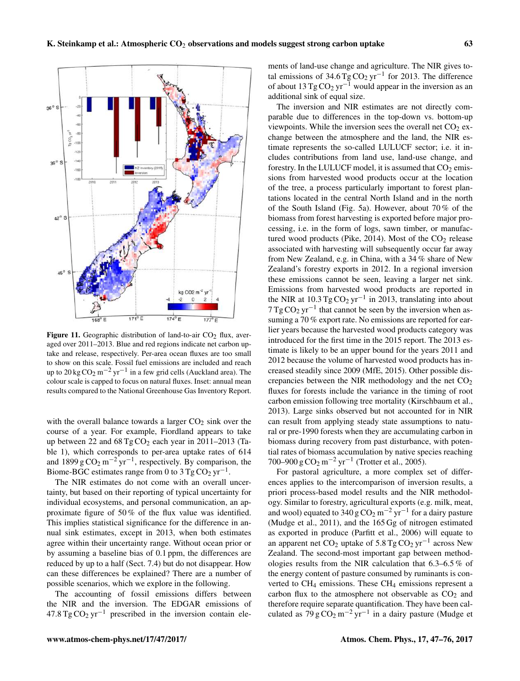

Figure 11. Geographic distribution of land-to-air  $CO<sub>2</sub>$  flux, averaged over 2011–2013. Blue and red regions indicate net carbon uptake and release, respectively. Per-area ocean fluxes are too small to show on this scale. Fossil fuel emissions are included and reach up to 20 kg  $CO_2$  m<sup>-2</sup> yr<sup>-1</sup> in a few grid cells (Auckland area). The colour scale is capped to focus on natural fluxes. Inset: annual mean results compared to the National Greenhouse Gas Inventory Report.

with the overall balance towards a larger  $CO<sub>2</sub>$  sink over the course of a year. For example, Fiordland appears to take up between 22 and  $68 \text{ Tg} \text{CO}_2$  each year in 2011–2013 (Table 1), which corresponds to per-area uptake rates of 614 and 1899 g  $CO_2$  m<sup>-2</sup> yr<sup>-1</sup>, respectively. By comparison, the Biome-BGC estimates range from 0 to  $3 \text{ Tg} \text{CO}_2 \text{ yr}^{-1}$ .

The NIR estimates do not come with an overall uncertainty, but based on their reporting of typical uncertainty for individual ecosystems, and personal communication, an approximate figure of 50 % of the flux value was identified. This implies statistical significance for the difference in annual sink estimates, except in 2013, when both estimates agree within their uncertainty range. Without ocean prior or by assuming a baseline bias of 0.1 ppm, the differences are reduced by up to a half (Sect. 7.4) but do not disappear. How can these differences be explained? There are a number of possible scenarios, which we explore in the following.

The accounting of fossil emissions differs between the NIR and the inversion. The EDGAR emissions of  $47.8 \text{ Tg} \text{CO}_2 \text{ yr}^{-1}$  prescribed in the inversion contain ele-

ments of land-use change and agriculture. The NIR gives total emissions of 34.6 Tg  $CO<sub>2</sub>$  yr<sup>-1</sup> for 2013. The difference of about  $13 \text{ Tg} \text{CO}_2 \text{ yr}^{-1}$  would appear in the inversion as an additional sink of equal size.

The inversion and NIR estimates are not directly comparable due to differences in the top-down vs. bottom-up viewpoints. While the inversion sees the overall net  $CO<sub>2</sub>$  exchange between the atmosphere and the land, the NIR estimate represents the so-called LULUCF sector; i.e. it includes contributions from land use, land-use change, and forestry. In the LULUCF model, it is assumed that  $CO<sub>2</sub>$  emissions from harvested wood products occur at the location of the tree, a process particularly important to forest plantations located in the central North Island and in the north of the South Island (Fig. 5a). However, about 70 % of the biomass from forest harvesting is exported before major processing, i.e. in the form of logs, sawn timber, or manufactured wood products (Pike, 2014). Most of the  $CO<sub>2</sub>$  release associated with harvesting will subsequently occur far away from New Zealand, e.g. in China, with a 34 % share of New Zealand's forestry exports in 2012. In a regional inversion these emissions cannot be seen, leaving a larger net sink. Emissions from harvested wood products are reported in the NIR at  $10.3 \text{ Tg} \text{CO}_2 \text{ yr}^{-1}$  in 2013, translating into about  $7 \text{ Tg} \text{CO}_2 \text{ yr}^{-1}$  that cannot be seen by the inversion when assuming a 70 % export rate. No emissions are reported for earlier years because the harvested wood products category was introduced for the first time in the 2015 report. The 2013 estimate is likely to be an upper bound for the years 2011 and 2012 because the volume of harvested wood products has increased steadily since 2009 (MfE, 2015). Other possible discrepancies between the NIR methodology and the net  $CO<sub>2</sub>$ fluxes for forests include the variance in the timing of root carbon emission following tree mortality (Kirschbaum et al., 2013). Large sinks observed but not accounted for in NIR can result from applying steady state assumptions to natural or pre-1990 forests when they are accumulating carbon in biomass during recovery from past disturbance, with potential rates of biomass accumulation by native species reaching 700–900 g CO<sub>2</sub> m<sup>-2</sup> yr<sup>-1</sup> (Trotter et al., 2005).

For pastoral agriculture, a more complex set of differences applies to the intercomparison of inversion results, a priori process-based model results and the NIR methodology. Similar to forestry, agricultural exports (e.g. milk, meat, and wool) equated to  $340 \text{ g } \text{CO}_2 \text{ m}^{-2} \text{ yr}^{-1}$  for a dairy pasture (Mudge et al., 2011), and the 165 Gg of nitrogen estimated as exported in produce (Parfitt et al., 2006) will equate to an apparent net  $CO_2$  uptake of 5.8 Tg  $CO_2$  yr<sup>-1</sup> across New Zealand. The second-most important gap between methodologies results from the NIR calculation that 6.3–6.5 % of the energy content of pasture consumed by ruminants is converted to  $CH_4$  emissions. These  $CH_4$  emissions represent a carbon flux to the atmosphere not observable as  $CO<sub>2</sub>$  and therefore require separate quantification. They have been calculated as  $79 \text{ g } \text{CO}_2 \text{ m}^{-2} \text{ yr}^{-1}$  in a dairy pasture (Mudge et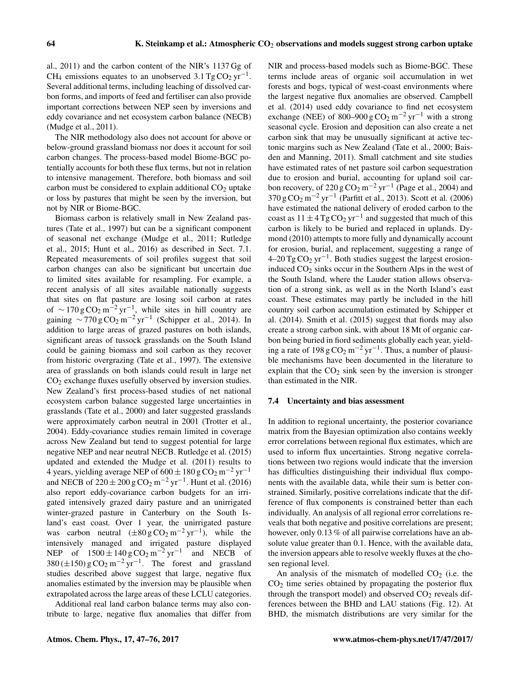al., 2011) and the carbon content of the NIR's 1137 Gg of CH<sub>4</sub> emissions equates to an unobserved  $3.1 \text{ Tg} \text{CO}_2 \text{ yr}^{-1}$ . Several additional terms, including leaching of dissolved carbon forms, and imports of feed and fertiliser can also provide important corrections between NEP seen by inversions and eddy covariance and net ecosystem carbon balance (NECB) (Mudge et al., 2011).

The NIR methodology also does not account for above or below-ground grassland biomass nor does it account for soil carbon changes. The process-based model Biome-BGC potentially accounts for both these flux terms, but not in relation to intensive management. Therefore, both biomass and soil carbon must be considered to explain additional  $CO<sub>2</sub>$  uptake or loss by pastures that might be seen by the inversion, but not by NIR or Biome-BGC.

Biomass carbon is relatively small in New Zealand pastures (Tate et al., 1997) but can be a significant component of seasonal net exchange (Mudge et al., 2011; Rutledge et al., 2015; Hunt et al., 2016) as described in Sect. 7.1. Repeated measurements of soil profiles suggest that soil carbon changes can also be significant but uncertain due to limited sites available for resampling. For example, a recent analysis of all sites available nationally suggests that sites on flat pasture are losing soil carbon at rates of  $\sim$  170 g CO<sub>2</sub> m<sup>-2</sup> yr<sup>-1</sup>, while sites in hill country are gaining  $\sim$  770 g CO<sub>2</sub> m<sup>-2</sup> yr<sup>-1</sup> (Schipper et al., 2014). In addition to large areas of grazed pastures on both islands, significant areas of tussock grasslands on the South Island could be gaining biomass and soil carbon as they recover from historic overgrazing (Tate et al., 1997). The extensive area of grasslands on both islands could result in large net CO<sup>2</sup> exchange fluxes usefully observed by inversion studies. New Zealand's first process-based studies of net national ecosystem carbon balance suggested large uncertainties in grasslands (Tate et al., 2000) and later suggested grasslands were approximately carbon neutral in 2001 (Trotter et al., 2004). Eddy-covariance studies remain limited in coverage across New Zealand but tend to suggest potential for large negative NEP and near neutral NECB. Rutledge et al. (2015) updated and extended the Mudge et al. (2011) results to 4 years, yielding average NEP of 600  $\pm$  180 g CO<sub>2</sub> m<sup>-2</sup> yr<sup>-1</sup> and NECB of  $220 \pm 200$  g CO<sub>2</sub> m<sup>-2</sup> yr<sup>-1</sup>. Hunt et al. (2016) also report eddy-covariance carbon budgets for an irrigated intensively grazed dairy pasture and an unirrigated winter-grazed pasture in Canterbury on the South Island's east coast. Over 1 year, the unirrigated pasture was carbon neutral  $(\pm 80 \text{ g } \text{CO}_2 \text{ m}^{-2} \text{ yr}^{-1})$ , while the intensively managed and irrigated pasture displayed NEP of  $1500 \pm 140 \text{ g } CO_2 \text{ m}^{-2} \text{ yr}^{-1}$  and NECB of 380 ( $\pm$ 150) g CO<sub>2</sub> m<sup>-2</sup> yr<sup>-1</sup>. The forest and grassland studies described above suggest that large, negative flux anomalies estimated by the inversion may be plausible when extrapolated across the large areas of these LCLU categories.

Additional real land carbon balance terms may also contribute to large, negative flux anomalies that differ from NIR and process-based models such as Biome-BGC. These terms include areas of organic soil accumulation in wet forests and bogs, typical of west-coast environments where the largest negative flux anomalies are observed. Campbell et al. (2014) used eddy covariance to find net ecosystem exchange (NEE) of 800–900 g  $CO<sub>2</sub>$  m<sup>-2</sup> yr<sup>-1</sup> with a strong seasonal cycle. Erosion and deposition can also create a net carbon sink that may be unusually significant at active tectonic margins such as New Zealand (Tate et al., 2000; Baisden and Manning, 2011). Small catchment and site studies have estimated rates of net pasture soil carbon sequestration due to erosion and burial, accounting for upland soil carbon recovery, of  $220 \text{ g } \text{CO}_2 \text{ m}^{-2} \text{ yr}^{-1}$  (Page et al., 2004) and  $370 \text{ g } CO_2 \text{ m}^{-2} \text{ yr}^{-1}$  (Parfitt et al., 2013). Scott et al. (2006) have estimated the national delivery of eroded carbon to the coast as  $11 \pm 4$  Tg CO<sub>2</sub> yr<sup>-1</sup> and suggested that much of this carbon is likely to be buried and replaced in uplands. Dymond (2010) attempts to more fully and dynamically account for erosion, burial, and replacement, suggesting a range of  $4-20 \text{ Tg} \text{CO}_2 \text{ yr}^{-1}$ . Both studies suggest the largest erosioninduced  $CO<sub>2</sub>$  sinks occur in the Southern Alps in the west of the South Island, where the Lauder station allows observation of a strong sink, as well as in the North Island's east coast. These estimates may partly be included in the hill country soil carbon accumulation estimated by Schipper et al. (2014). Smith et al. (2015) suggest that fiords may also create a strong carbon sink, with about 18 Mt of organic carbon being buried in fiord sediments globally each year, yielding a rate of 198 g  $CO_2$  m<sup>-2</sup> yr<sup>-1</sup>. Thus, a number of plausible mechanisms have been documented in the literature to explain that the  $CO<sub>2</sub>$  sink seen by the inversion is stronger than estimated in the NIR.

#### 7.4 Uncertainty and bias assessment

In addition to regional uncertainty, the posterior covariance matrix from the Bayesian optimization also contains weekly error correlations between regional flux estimates, which are used to inform flux uncertainties. Strong negative correlations between two regions would indicate that the inversion has difficulties distinguishing their individual flux components with the available data, while their sum is better constrained. Similarly, positive correlations indicate that the difference of flux components is constrained better than each individually. An analysis of all regional error correlations reveals that both negative and positive correlations are present; however, only 0.13 % of all pairwise correlations have an absolute value greater than 0.1. Hence, with the available data, the inversion appears able to resolve weekly fluxes at the chosen regional level.

An analysis of the mismatch of modelled  $CO<sub>2</sub>$  (i.e. the  $CO<sub>2</sub>$  time series obtained by propagating the posterior flux through the transport model) and observed  $CO<sub>2</sub>$  reveals differences between the BHD and LAU stations (Fig. 12). At BHD, the mismatch distributions are very similar for the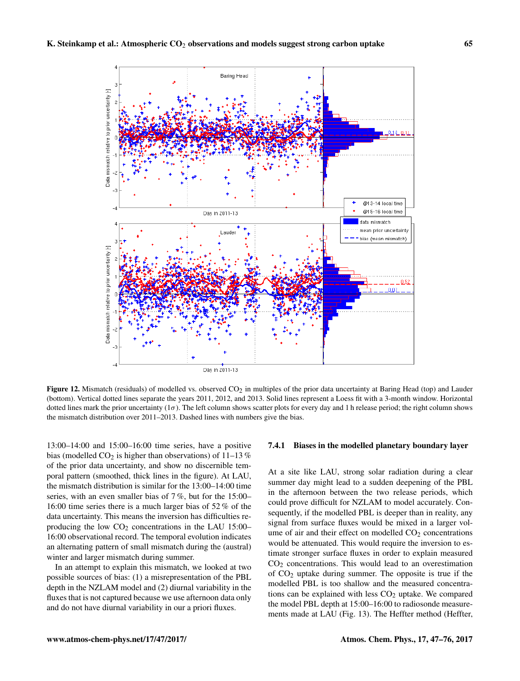

**Figure 12.** Mismatch (residuals) of modelled vs. observed  $CO<sub>2</sub>$  in multiples of the prior data uncertainty at Baring Head (top) and Lauder (bottom). Vertical dotted lines separate the years 2011, 2012, and 2013. Solid lines represent a Loess fit with a 3-month window. Horizontal dotted lines mark the prior uncertainty  $(1\sigma)$ . The left column shows scatter plots for every day and 1 h release period; the right column shows the mismatch distribution over 2011–2013. Dashed lines with numbers give the bias.

13:00–14:00 and 15:00–16:00 time series, have a positive bias (modelled  $CO<sub>2</sub>$  is higher than observations) of 11–13 % of the prior data uncertainty, and show no discernible temporal pattern (smoothed, thick lines in the figure). At LAU, the mismatch distribution is similar for the 13:00–14:00 time series, with an even smaller bias of 7 %, but for the 15:00– 16:00 time series there is a much larger bias of 52 % of the data uncertainty. This means the inversion has difficulties reproducing the low  $CO<sub>2</sub>$  concentrations in the LAU 15:00– 16:00 observational record. The temporal evolution indicates an alternating pattern of small mismatch during the (austral) winter and larger mismatch during summer.

In an attempt to explain this mismatch, we looked at two possible sources of bias: (1) a misrepresentation of the PBL depth in the NZLAM model and (2) diurnal variability in the fluxes that is not captured because we use afternoon data only and do not have diurnal variability in our a priori fluxes.

#### 7.4.1 Biases in the modelled planetary boundary layer

At a site like LAU, strong solar radiation during a clear summer day might lead to a sudden deepening of the PBL in the afternoon between the two release periods, which could prove difficult for NZLAM to model accurately. Consequently, if the modelled PBL is deeper than in reality, any signal from surface fluxes would be mixed in a larger volume of air and their effect on modelled  $CO<sub>2</sub>$  concentrations would be attenuated. This would require the inversion to estimate stronger surface fluxes in order to explain measured  $CO<sub>2</sub>$  concentrations. This would lead to an overestimation of  $CO<sub>2</sub>$  uptake during summer. The opposite is true if the modelled PBL is too shallow and the measured concentrations can be explained with less  $CO<sub>2</sub>$  uptake. We compared the model PBL depth at 15:00–16:00 to radiosonde measurements made at LAU (Fig. 13). The Heffter method (Heffter,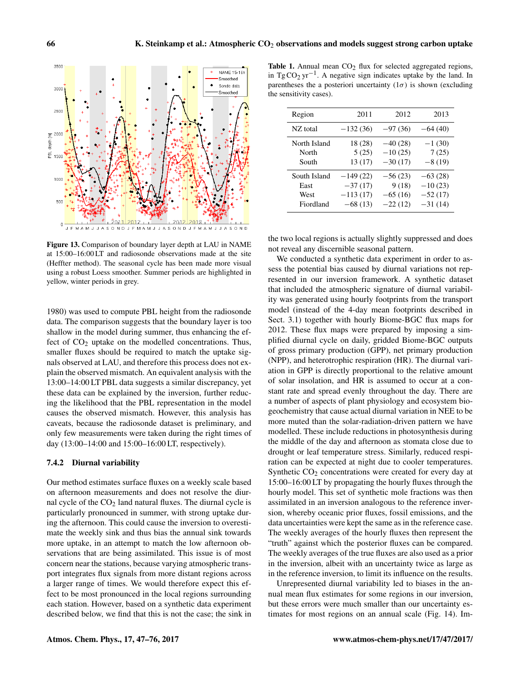3500

3000

2500

 $\mathbb{E}$  2000<br> $\mathbb{E}$ <br> $\frac{4}{9}$  $\overrightarrow{\texttt{e}}$ 1500

1000

500

NAME 15-16h Smoothed Sonde data

Smoothed

Figure 13. Comparison of boundary layer depth at LAU in NAME at 15:00–16:00 LT and radiosonde observations made at the site (Heffter method). The seasonal cycle has been made more visual using a robust Loess smoother. Summer periods are highlighted in yellow, winter periods in grey.

J F M A M J J A S O N D J F M A M J J A S O N D J F M A M J J A S O N D

2013

1980) was used to compute PBL height from the radiosonde data. The comparison suggests that the boundary layer is too shallow in the model during summer, thus enhancing the effect of  $CO<sub>2</sub>$  uptake on the modelled concentrations. Thus, smaller fluxes should be required to match the uptake signals observed at LAU, and therefore this process does not explain the observed mismatch. An equivalent analysis with the 13:00–14:00 LT PBL data suggests a similar discrepancy, yet these data can be explained by the inversion, further reducing the likelihood that the PBL representation in the model causes the observed mismatch. However, this analysis has caveats, because the radiosonde dataset is preliminary, and only few measurements were taken during the right times of day (13:00–14:00 and 15:00–16:00 LT, respectively).

## 7.4.2 Diurnal variability

Our method estimates surface fluxes on a weekly scale based on afternoon measurements and does not resolve the diurnal cycle of the  $CO<sub>2</sub>$  land natural fluxes. The diurnal cycle is particularly pronounced in summer, with strong uptake during the afternoon. This could cause the inversion to overestimate the weekly sink and thus bias the annual sink towards more uptake, in an attempt to match the low afternoon observations that are being assimilated. This issue is of most concern near the stations, because varying atmospheric transport integrates flux signals from more distant regions across a larger range of times. We would therefore expect this effect to be most pronounced in the local regions surrounding each station. However, based on a synthetic data experiment described below, we find that this is not the case; the sink in

Table 1. Annual mean  $CO<sub>2</sub>$  flux for selected aggregated regions, in Tg  $CO_2 \text{ yr}^{-1}$ . A negative sign indicates uptake by the land. In parentheses the a posteriori uncertainty  $(1\sigma)$  is shown (excluding the sensitivity cases).

| Region       | 2011       | 2012      | 2013      |
|--------------|------------|-----------|-----------|
| NZ total     | $-132(36)$ | $-97(36)$ | $-64(40)$ |
| North Island | 18 (28)    | $-40(28)$ | $-1(30)$  |
| North        | 5(25)      | $-10(25)$ | 7(25)     |
| South        | 13(17)     | $-30(17)$ | $-8(19)$  |
| South Island | $-149(22)$ | $-56(23)$ | $-63(28)$ |
| East         | $-37(17)$  | 9(18)     | $-10(23)$ |
| West         | $-113(17)$ | $-65(16)$ | $-52(17)$ |
| Fiordland    | $-68(13)$  | $-22(12)$ | $-31(14)$ |

the two local regions is actually slightly suppressed and does not reveal any discernible seasonal pattern.

We conducted a synthetic data experiment in order to assess the potential bias caused by diurnal variations not represented in our inversion framework. A synthetic dataset that included the atmospheric signature of diurnal variability was generated using hourly footprints from the transport model (instead of the 4-day mean footprints described in Sect. 3.1) together with hourly Biome-BGC flux maps for 2012. These flux maps were prepared by imposing a simplified diurnal cycle on daily, gridded Biome-BGC outputs of gross primary production (GPP), net primary production (NPP), and heterotrophic respiration (HR). The diurnal variation in GPP is directly proportional to the relative amount of solar insolation, and HR is assumed to occur at a constant rate and spread evenly throughout the day. There are a number of aspects of plant physiology and ecosystem biogeochemistry that cause actual diurnal variation in NEE to be more muted than the solar-radiation-driven pattern we have modelled. These include reductions in photosynthesis during the middle of the day and afternoon as stomata close due to drought or leaf temperature stress. Similarly, reduced respiration can be expected at night due to cooler temperatures. Synthetic  $CO<sub>2</sub>$  concentrations were created for every day at 15:00–16:00 LT by propagating the hourly fluxes through the hourly model. This set of synthetic mole fractions was then assimilated in an inversion analogous to the reference inversion, whereby oceanic prior fluxes, fossil emissions, and the data uncertainties were kept the same as in the reference case. The weekly averages of the hourly fluxes then represent the "truth" against which the posterior fluxes can be compared. The weekly averages of the true fluxes are also used as a prior in the inversion, albeit with an uncertainty twice as large as in the reference inversion, to limit its influence on the results.

Unrepresented diurnal variability led to biases in the annual mean flux estimates for some regions in our inversion, but these errors were much smaller than our uncertainty estimates for most regions on an annual scale (Fig. 14). Im-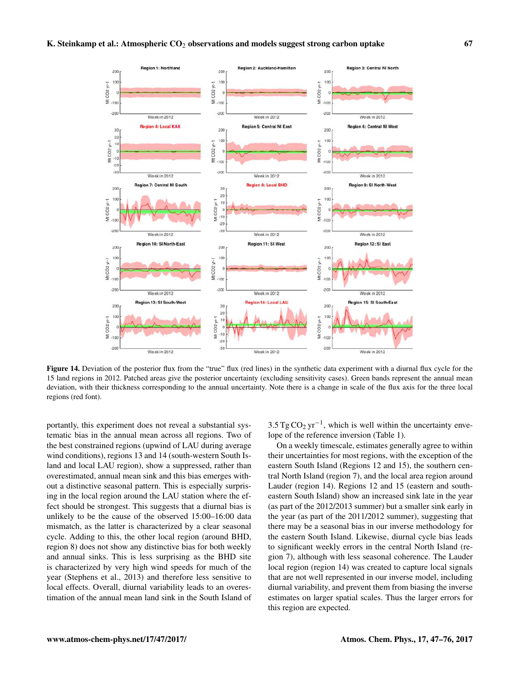

Figure 14. Deviation of the posterior flux from the "true" flux (red lines) in the synthetic data experiment with a diurnal flux cycle for the 15 land regions in 2012. Patched areas give the posterior uncertainty (excluding sensitivity cases). Green bands represent the annual mean deviation, with their thickness corresponding to the annual uncertainty. Note there is a change in scale of the flux axis for the three local regions (red font).

portantly, this experiment does not reveal a substantial systematic bias in the annual mean across all regions. Two of the best constrained regions (upwind of LAU during average wind conditions), regions 13 and 14 (south-western South Island and local LAU region), show a suppressed, rather than overestimated, annual mean sink and this bias emerges without a distinctive seasonal pattern. This is especially surprising in the local region around the LAU station where the effect should be strongest. This suggests that a diurnal bias is unlikely to be the cause of the observed 15:00–16:00 data mismatch, as the latter is characterized by a clear seasonal cycle. Adding to this, the other local region (around BHD, region 8) does not show any distinctive bias for both weekly and annual sinks. This is less surprising as the BHD site is characterized by very high wind speeds for much of the year (Stephens et al., 2013) and therefore less sensitive to local effects. Overall, diurnal variability leads to an overestimation of the annual mean land sink in the South Island of

3.5 Tg  $CO_2$  yr<sup>-1</sup>, which is well within the uncertainty envelope of the reference inversion (Table 1).

On a weekly timescale, estimates generally agree to within their uncertainties for most regions, with the exception of the eastern South Island (Regions 12 and 15), the southern central North Island (region 7), and the local area region around Lauder (region 14). Regions 12 and 15 (eastern and southeastern South Island) show an increased sink late in the year (as part of the 2012/2013 summer) but a smaller sink early in the year (as part of the 2011/2012 summer), suggesting that there may be a seasonal bias in our inverse methodology for the eastern South Island. Likewise, diurnal cycle bias leads to significant weekly errors in the central North Island (region 7), although with less seasonal coherence. The Lauder local region (region 14) was created to capture local signals that are not well represented in our inverse model, including diurnal variability, and prevent them from biasing the inverse estimates on larger spatial scales. Thus the larger errors for this region are expected.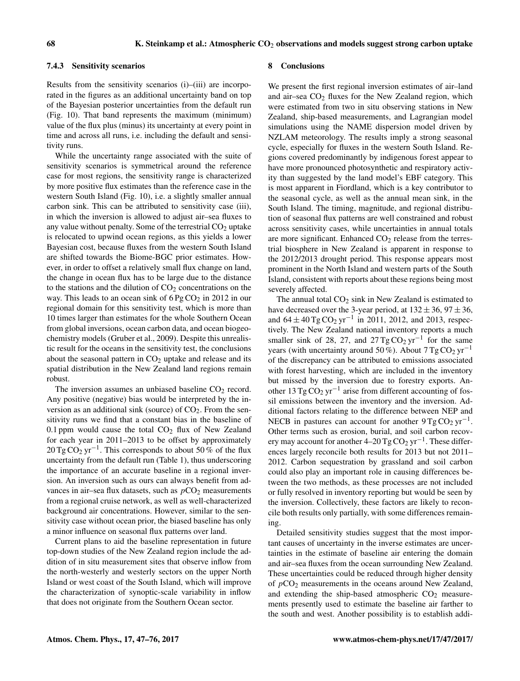## 7.4.3 Sensitivity scenarios

Results from the sensitivity scenarios (i)–(iii) are incorporated in the figures as an additional uncertainty band on top of the Bayesian posterior uncertainties from the default run (Fig. 10). That band represents the maximum (minimum) value of the flux plus (minus) its uncertainty at every point in time and across all runs, i.e. including the default and sensitivity runs.

While the uncertainty range associated with the suite of sensitivity scenarios is symmetrical around the reference case for most regions, the sensitivity range is characterized by more positive flux estimates than the reference case in the western South Island (Fig. 10), i.e. a slightly smaller annual carbon sink. This can be attributed to sensitivity case (iii), in which the inversion is allowed to adjust air–sea fluxes to any value without penalty. Some of the terrestrial  $CO<sub>2</sub>$  uptake is relocated to upwind ocean regions, as this yields a lower Bayesian cost, because fluxes from the western South Island are shifted towards the Biome-BGC prior estimates. However, in order to offset a relatively small flux change on land, the change in ocean flux has to be large due to the distance to the stations and the dilution of  $CO<sub>2</sub>$  concentrations on the way. This leads to an ocean sink of  $6 \text{Pg CO}_2$  in 2012 in our regional domain for this sensitivity test, which is more than 10 times larger than estimates for the whole Southern Ocean from global inversions, ocean carbon data, and ocean biogeochemistry models (Gruber et al., 2009). Despite this unrealistic result for the oceans in the sensitivity test, the conclusions about the seasonal pattern in  $CO<sub>2</sub>$  uptake and release and its spatial distribution in the New Zealand land regions remain robust.

The inversion assumes an unbiased baseline  $CO<sub>2</sub>$  record. Any positive (negative) bias would be interpreted by the inversion as an additional sink (source) of  $CO<sub>2</sub>$ . From the sensitivity runs we find that a constant bias in the baseline of 0.1 ppm would cause the total  $CO<sub>2</sub>$  flux of New Zealand for each year in 2011–2013 to be offset by approximately 20 Tg CO<sub>2</sub> yr<sup>-1</sup>. This corresponds to about 50 % of the flux uncertainty from the default run (Table 1), thus underscoring the importance of an accurate baseline in a regional inversion. An inversion such as ours can always benefit from advances in air–sea flux datasets, such as  $pCO<sub>2</sub>$  measurements from a regional cruise network, as well as well-characterized background air concentrations. However, similar to the sensitivity case without ocean prior, the biased baseline has only a minor influence on seasonal flux patterns over land.

Current plans to aid the baseline representation in future top-down studies of the New Zealand region include the addition of in situ measurement sites that observe inflow from the north-westerly and westerly sectors on the upper North Island or west coast of the South Island, which will improve the characterization of synoptic-scale variability in inflow that does not originate from the Southern Ocean sector.

### 8 Conclusions

We present the first regional inversion estimates of air–land and air–sea  $CO<sub>2</sub>$  fluxes for the New Zealand region, which were estimated from two in situ observing stations in New Zealand, ship-based measurements, and Lagrangian model simulations using the NAME dispersion model driven by NZLAM meteorology. The results imply a strong seasonal cycle, especially for fluxes in the western South Island. Regions covered predominantly by indigenous forest appear to have more pronounced photosynthetic and respiratory activity than suggested by the land model's EBF category. This is most apparent in Fiordland, which is a key contributor to the seasonal cycle, as well as the annual mean sink, in the South Island. The timing, magnitude, and regional distribution of seasonal flux patterns are well constrained and robust across sensitivity cases, while uncertainties in annual totals are more significant. Enhanced  $CO<sub>2</sub>$  release from the terrestrial biosphere in New Zealand is apparent in response to the 2012/2013 drought period. This response appears most prominent in the North Island and western parts of the South Island, consistent with reports about these regions being most severely affected.

The annual total  $CO<sub>2</sub>$  sink in New Zealand is estimated to have decreased over the 3-year period, at  $132 \pm 36$ ,  $97 \pm 36$ , and  $64 \pm 40$  Tg CO<sub>2</sub> yr<sup>-1</sup> in 2011, 2012, and 2013, respectively. The New Zealand national inventory reports a much smaller sink of 28, 27, and  $27$  Tg CO<sub>2</sub> yr<sup>-1</sup> for the same years (with uncertainty around 50 %). About  $7 \text{ Tg} \text{CO}_2 \text{ yr}^{-1}$ of the discrepancy can be attributed to emissions associated with forest harvesting, which are included in the inventory but missed by the inversion due to forestry exports. Another 13 Tg  $CO_2$  yr<sup>-1</sup> arise from different accounting of fossil emissions between the inventory and the inversion. Additional factors relating to the difference between NEP and NECB in pastures can account for another  $9 \text{ Tg} \text{CO}_2 \text{ yr}^{-1}$ . Other terms such as erosion, burial, and soil carbon recovery may account for another  $4-20$  Tg CO<sub>2</sub> yr<sup>-1</sup>. These differences largely reconcile both results for 2013 but not 2011– 2012. Carbon sequestration by grassland and soil carbon could also play an important role in causing differences between the two methods, as these processes are not included or fully resolved in inventory reporting but would be seen by the inversion. Collectively, these factors are likely to reconcile both results only partially, with some differences remaining.

Detailed sensitivity studies suggest that the most important causes of uncertainty in the inverse estimates are uncertainties in the estimate of baseline air entering the domain and air–sea fluxes from the ocean surrounding New Zealand. These uncertainties could be reduced through higher density of  $pCO<sub>2</sub>$  measurements in the oceans around New Zealand, and extending the ship-based atmospheric  $CO<sub>2</sub>$  measurements presently used to estimate the baseline air farther to the south and west. Another possibility is to establish addi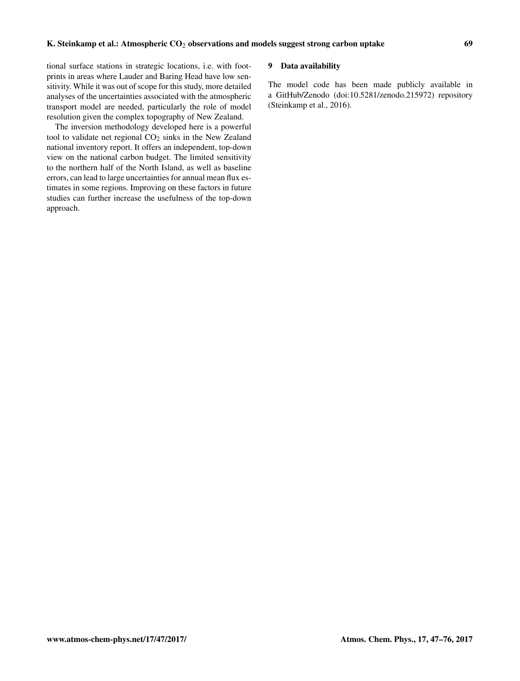tional surface stations in strategic locations, i.e. with footprints in areas where Lauder and Baring Head have low sensitivity. While it was out of scope for this study, more detailed analyses of the uncertainties associated with the atmospheric transport model are needed, particularly the role of model resolution given the complex topography of New Zealand.

The inversion methodology developed here is a powerful tool to validate net regional  $CO<sub>2</sub>$  sinks in the New Zealand national inventory report. It offers an independent, top-down view on the national carbon budget. The limited sensitivity to the northern half of the North Island, as well as baseline errors, can lead to large uncertainties for annual mean flux estimates in some regions. Improving on these factors in future studies can further increase the usefulness of the top-down approach.

## 9 Data availability

The model code has been made publicly available in a GitHub/Zenodo (doi[:10.5281/zenodo.215972\)](http://dx.doi.org/10.5281/zenodo.215972) repository (Steinkamp et al., 2016).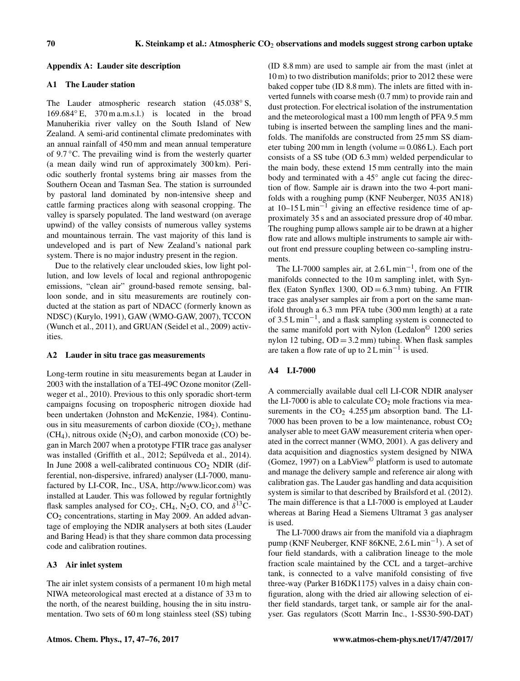## Appendix A: Lauder site description

## A1 The Lauder station

The Lauder atmospheric research station (45.038° S, 169.684◦ E, 370 m a.m.s.l.) is located in the broad Manuherikia river valley on the South Island of New Zealand. A semi-arid continental climate predominates with an annual rainfall of 450 mm and mean annual temperature of 9.7 ◦C. The prevailing wind is from the westerly quarter (a mean daily wind run of approximately 300 km). Periodic southerly frontal systems bring air masses from the Southern Ocean and Tasman Sea. The station is surrounded by pastoral land dominated by non-intensive sheep and cattle farming practices along with seasonal cropping. The valley is sparsely populated. The land westward (on average upwind) of the valley consists of numerous valley systems and mountainous terrain. The vast majority of this land is undeveloped and is part of New Zealand's national park system. There is no major industry present in the region.

Due to the relatively clear unclouded skies, low light pollution, and low levels of local and regional anthropogenic emissions, "clean air" ground-based remote sensing, balloon sonde, and in situ measurements are routinely conducted at the station as part of NDACC (formerly known as NDSC) (Kurylo, 1991), GAW (WMO-GAW, 2007), TCCON (Wunch et al., 2011), and GRUAN (Seidel et al., 2009) activities.

#### A2 Lauder in situ trace gas measurements

Long-term routine in situ measurements began at Lauder in 2003 with the installation of a TEI-49C Ozone monitor (Zellweger et al., 2010). Previous to this only sporadic short-term campaigns focusing on tropospheric nitrogen dioxide had been undertaken (Johnston and McKenzie, 1984). Continuous in situ measurements of carbon dioxide  $(CO<sub>2</sub>)$ , methane  $(CH<sub>4</sub>)$ , nitrous oxide  $(N<sub>2</sub>O)$ , and carbon monoxide (CO) began in March 2007 when a prototype FTIR trace gas analyser was installed (Griffith et al., 2012; Sepúlveda et al., 2014). In June 2008 a well-calibrated continuous  $CO<sub>2</sub>$  NDIR (differential, non-dispersive, infrared) analyser (LI-7000, manufactured by LI-COR, Inc., USA, [http://www.licor.com\)](http://www.licor.com) was installed at Lauder. This was followed by regular fortnightly flask samples analysed for CO<sub>2</sub>, CH<sub>4</sub>, N<sub>2</sub>O, CO, and  $\delta^{13}$ C-CO<sup>2</sup> concentrations, starting in May 2009. An added advantage of employing the NDIR analysers at both sites (Lauder and Baring Head) is that they share common data processing code and calibration routines.

## A3 Air inlet system

The air inlet system consists of a permanent 10 m high metal NIWA meteorological mast erected at a distance of 33 m to the north, of the nearest building, housing the in situ instrumentation. Two sets of 60 m long stainless steel (SS) tubing (ID 8.8 mm) are used to sample air from the mast (inlet at 10 m) to two distribution manifolds; prior to 2012 these were baked copper tube (ID 8.8 mm). The inlets are fitted with inverted funnels with coarse mesh (0.7 mm) to provide rain and dust protection. For electrical isolation of the instrumentation and the meteorological mast a 100 mm length of PFA 9.5 mm tubing is inserted between the sampling lines and the manifolds. The manifolds are constructed from 25 mm SS diameter tubing 200 mm in length (volume  $= 0.086 L$ ). Each port consists of a SS tube (OD 6.3 mm) welded perpendicular to the main body, these extend 15 mm centrally into the main body and terminated with a 45<sup>°</sup> angle cut facing the direction of flow. Sample air is drawn into the two 4-port manifolds with a roughing pump (KNF Neuberger, N035 AN18) at  $10-15 \text{ L min}^{-1}$  giving an effective residence time of approximately 35 s and an associated pressure drop of 40 mbar. The roughing pump allows sample air to be drawn at a higher flow rate and allows multiple instruments to sample air without front end pressure coupling between co-sampling instruments.

The LI-7000 samples air, at 2.6 L min−<sup>1</sup> , from one of the manifolds connected to the 10 m sampling inlet, with Synflex (Eaton Synflex 1300,  $OD = 6.3$  mm) tubing. An FTIR trace gas analyser samples air from a port on the same manifold through a 6.3 mm PFA tube (300 mm length) at a rate of 3.5 L min−<sup>1</sup> , and a flask sampling system is connected to the same manifold port with Nylon (Ledalon© 1200 series nylon 12 tubing,  $OD = 3.2$  mm) tubing. When flask samples are taken a flow rate of up to  $2 L min^{-1}$  is used.

# A4 LI-7000

A commercially available dual cell LI-COR NDIR analyser the LI-7000 is able to calculate  $CO<sub>2</sub>$  mole fractions via measurements in the  $CO<sub>2</sub>$  4.255 µm absorption band. The LI-7000 has been proven to be a low maintenance, robust  $CO<sub>2</sub>$ analyser able to meet GAW measurement criteria when operated in the correct manner (WMO, 2001). A gas delivery and data acquisition and diagnostics system designed by NIWA (Gomez, 1997) on a LabView<sup>©</sup> platform is used to automate and manage the delivery sample and reference air along with calibration gas. The Lauder gas handling and data acquisition system is similar to that described by Brailsford et al. (2012). The main difference is that a LI-7000 is employed at Lauder whereas at Baring Head a Siemens Ultramat 3 gas analyser is used.

The LI-7000 draws air from the manifold via a diaphragm pump (KNF Neuberger, KNF 86KNE, 2.6 L min<sup>-1</sup>). A set of four field standards, with a calibration lineage to the mole fraction scale maintained by the CCL and a target–archive tank, is connected to a valve manifold consisting of five three-way (Parker B16DK1175) valves in a daisy chain configuration, along with the dried air allowing selection of either field standards, target tank, or sample air for the analyser. Gas regulators (Scott Marrin Inc., 1-SS30-590-DAT)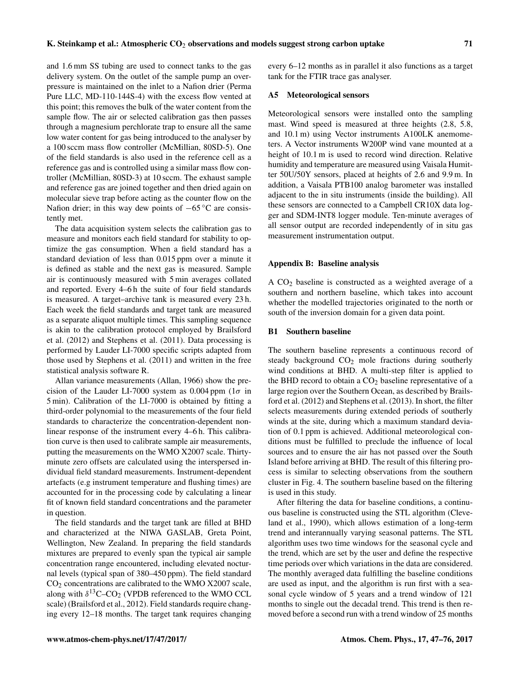and 1.6 mm SS tubing are used to connect tanks to the gas delivery system. On the outlet of the sample pump an overpressure is maintained on the inlet to a Nafion drier (Perma Pure LLC, MD-110-144S-4) with the excess flow vented at this point; this removes the bulk of the water content from the sample flow. The air or selected calibration gas then passes through a magnesium perchlorate trap to ensure all the same low water content for gas being introduced to the analyser by a 100 sccm mass flow controller (McMillian, 80SD-5). One of the field standards is also used in the reference cell as a reference gas and is controlled using a similar mass flow controller (McMillian, 80SD-3) at 10 sccm. The exhaust sample and reference gas are joined together and then dried again on molecular sieve trap before acting as the counter flow on the Nafion drier; in this way dew points of  $-65\degree C$  are consistently met.

The data acquisition system selects the calibration gas to measure and monitors each field standard for stability to optimize the gas consumption. When a field standard has a standard deviation of less than 0.015 ppm over a minute it is defined as stable and the next gas is measured. Sample air is continuously measured with 5 min averages collated and reported. Every 4–6 h the suite of four field standards is measured. A target–archive tank is measured every 23 h. Each week the field standards and target tank are measured as a separate aliquot multiple times. This sampling sequence is akin to the calibration protocol employed by Brailsford et al. (2012) and Stephens et al. (2011). Data processing is performed by Lauder LI-7000 specific scripts adapted from those used by Stephens et al. (2011) and written in the free statistical analysis software R.

Allan variance measurements (Allan, 1966) show the precision of the Lauder LI-7000 system as 0.004 ppm ( $1\sigma$  in 5 min). Calibration of the LI-7000 is obtained by fitting a third-order polynomial to the measurements of the four field standards to characterize the concentration-dependent nonlinear response of the instrument every 4–6 h. This calibration curve is then used to calibrate sample air measurements, putting the measurements on the WMO X2007 scale. Thirtyminute zero offsets are calculated using the interspersed individual field standard measurements. Instrument-dependent artefacts (e.g instrument temperature and flushing times) are accounted for in the processing code by calculating a linear fit of known field standard concentrations and the parameter in question.

The field standards and the target tank are filled at BHD and characterized at the NIWA GASLAB, Greta Point, Wellington, New Zealand. In preparing the field standards mixtures are prepared to evenly span the typical air sample concentration range encountered, including elevated nocturnal levels (typical span of 380–450 ppm). The field standard CO<sup>2</sup> concentrations are calibrated to the WMO X2007 scale, along with  $\delta^{13}$ C–CO<sub>2</sub> (VPDB referenced to the WMO CCL scale) (Brailsford et al., 2012). Field standards require changing every 12–18 months. The target tank requires changing every 6–12 months as in parallel it also functions as a target tank for the FTIR trace gas analyser.

## A5 Meteorological sensors

Meteorological sensors were installed onto the sampling mast. Wind speed is measured at three heights (2.8, 5.8, and 10.1 m) using Vector instruments A100LK anemometers. A Vector instruments W200P wind vane mounted at a height of 10.1 m is used to record wind direction. Relative humidity and temperature are measured using Vaisala Humitter 50U/50Y sensors, placed at heights of 2.6 and 9.9 m. In addition, a Vaisala PTB100 analog barometer was installed adjacent to the in situ instruments (inside the building). All these sensors are connected to a Campbell CR10X data logger and SDM-INT8 logger module. Ten-minute averages of all sensor output are recorded independently of in situ gas measurement instrumentation output.

### Appendix B: Baseline analysis

A  $CO<sub>2</sub>$  baseline is constructed as a weighted average of a southern and northern baseline, which takes into account whether the modelled trajectories originated to the north or south of the inversion domain for a given data point.

## B1 Southern baseline

The southern baseline represents a continuous record of steady background  $CO<sub>2</sub>$  mole fractions during southerly wind conditions at BHD. A multi-step filter is applied to the BHD record to obtain a  $CO<sub>2</sub>$  baseline representative of a large region over the Southern Ocean, as described by Brailsford et al. (2012) and Stephens et al. (2013). In short, the filter selects measurements during extended periods of southerly winds at the site, during which a maximum standard deviation of 0.1 ppm is achieved. Additional meteorological conditions must be fulfilled to preclude the influence of local sources and to ensure the air has not passed over the South Island before arriving at BHD. The result of this filtering process is similar to selecting observations from the southern cluster in Fig. 4. The southern baseline based on the filtering is used in this study.

After filtering the data for baseline conditions, a continuous baseline is constructed using the STL algorithm (Cleveland et al., 1990), which allows estimation of a long-term trend and interannually varying seasonal patterns. The STL algorithm uses two time windows for the seasonal cycle and the trend, which are set by the user and define the respective time periods over which variations in the data are considered. The monthly averaged data fulfilling the baseline conditions are used as input, and the algorithm is run first with a seasonal cycle window of 5 years and a trend window of 121 months to single out the decadal trend. This trend is then removed before a second run with a trend window of 25 months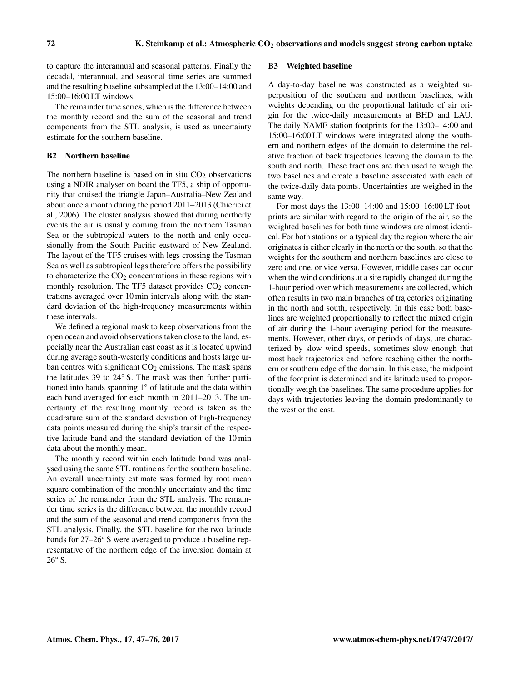to capture the interannual and seasonal patterns. Finally the decadal, interannual, and seasonal time series are summed and the resulting baseline subsampled at the 13:00–14:00 and 15:00–16:00 LT windows.

The remainder time series, which is the difference between the monthly record and the sum of the seasonal and trend components from the STL analysis, is used as uncertainty estimate for the southern baseline.

## B2 Northern baseline

The northern baseline is based on in situ  $CO<sub>2</sub>$  observations using a NDIR analyser on board the TF5, a ship of opportunity that cruised the triangle Japan–Australia–New Zealand about once a month during the period 2011–2013 (Chierici et al., 2006). The cluster analysis showed that during northerly events the air is usually coming from the northern Tasman Sea or the subtropical waters to the north and only occasionally from the South Pacific eastward of New Zealand. The layout of the TF5 cruises with legs crossing the Tasman Sea as well as subtropical legs therefore offers the possibility to characterize the  $CO<sub>2</sub>$  concentrations in these regions with monthly resolution. The TF5 dataset provides  $CO<sub>2</sub>$  concentrations averaged over 10 min intervals along with the standard deviation of the high-frequency measurements within these intervals.

We defined a regional mask to keep observations from the open ocean and avoid observations taken close to the land, especially near the Australian east coast as it is located upwind during average south-westerly conditions and hosts large urban centres with significant  $CO<sub>2</sub>$  emissions. The mask spans the latitudes 39 to 24◦ S. The mask was then further partitioned into bands spanning 1◦ of latitude and the data within each band averaged for each month in 2011–2013. The uncertainty of the resulting monthly record is taken as the quadrature sum of the standard deviation of high-frequency data points measured during the ship's transit of the respective latitude band and the standard deviation of the 10 min data about the monthly mean.

The monthly record within each latitude band was analysed using the same STL routine as for the southern baseline. An overall uncertainty estimate was formed by root mean square combination of the monthly uncertainty and the time series of the remainder from the STL analysis. The remainder time series is the difference between the monthly record and the sum of the seasonal and trend components from the STL analysis. Finally, the STL baseline for the two latitude bands for 27–26◦ S were averaged to produce a baseline representative of the northern edge of the inversion domain at 26<sup>°</sup> S.

#### B3 Weighted baseline

A day-to-day baseline was constructed as a weighted superposition of the southern and northern baselines, with weights depending on the proportional latitude of air origin for the twice-daily measurements at BHD and LAU. The daily NAME station footprints for the 13:00–14:00 and 15:00–16:00 LT windows were integrated along the southern and northern edges of the domain to determine the relative fraction of back trajectories leaving the domain to the south and north. These fractions are then used to weigh the two baselines and create a baseline associated with each of the twice-daily data points. Uncertainties are weighed in the same way.

For most days the 13:00–14:00 and 15:00–16:00 LT footprints are similar with regard to the origin of the air, so the weighted baselines for both time windows are almost identical. For both stations on a typical day the region where the air originates is either clearly in the north or the south, so that the weights for the southern and northern baselines are close to zero and one, or vice versa. However, middle cases can occur when the wind conditions at a site rapidly changed during the 1-hour period over which measurements are collected, which often results in two main branches of trajectories originating in the north and south, respectively. In this case both baselines are weighted proportionally to reflect the mixed origin of air during the 1-hour averaging period for the measurements. However, other days, or periods of days, are characterized by slow wind speeds, sometimes slow enough that most back trajectories end before reaching either the northern or southern edge of the domain. In this case, the midpoint of the footprint is determined and its latitude used to proportionally weigh the baselines. The same procedure applies for days with trajectories leaving the domain predominantly to the west or the east.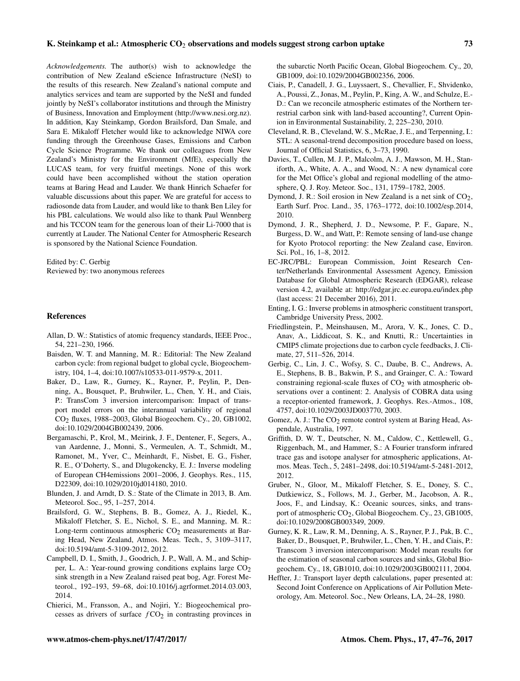*Acknowledgements.* The author(s) wish to acknowledge the contribution of New Zealand eScience Infrastructure (NeSI) to the results of this research. New Zealand's national compute and analytics services and team are supported by the NeSI and funded jointly by NeSI's collaborator institutions and through the Ministry of Business, Innovation and Employment [\(http://www.nesi.org.nz\)](http://www.nesi.org.nz). In addition, Kay Steinkamp, Gordon Brailsford, Dan Smale, and Sara E. Mikaloff Fletcher would like to acknowledge NIWA core funding through the Greenhouse Gases, Emissions and Carbon Cycle Science Programme. We thank our colleagues from New Zealand's Ministry for the Environment (MfE), especially the LUCAS team, for very fruitful meetings. None of this work could have been accomplished without the station operation teams at Baring Head and Lauder. We thank Hinrich Schaefer for valuable discussions about this paper. We are grateful for access to radiosonde data from Lauder, and would like to thank Ben Liley for his PBL calculations. We would also like to thank Paul Wennberg and his TCCON team for the generous loan of their Li-7000 that is currently at Lauder. The National Center for Atmospheric Research is sponsored by the National Science Foundation.

Edited by: C. Gerbig Reviewed by: two anonymous referees

## References

- Allan, D. W.: Statistics of atomic frequency standards, IEEE Proc., 54, 221–230, 1966.
- Baisden, W. T. and Manning, M. R.: Editorial: The New Zealand carbon cycle: from regional budget to global cycle, Biogeochemistry, 104, 1–4, doi[:10.1007/s10533-011-9579-x,](http://dx.doi.org/10.1007/s10533-011-9579-x) 2011.
- Baker, D., Law, R., Gurney, K., Rayner, P., Peylin, P., Denning, A., Bousquet, P., Bruhwiler, L., Chen, Y. H., and Ciais, P.: TransCom 3 inversion intercomparison: Impact of transport model errors on the interannual variability of regional CO2 fluxes, 1988–2003, Global Biogeochem. Cy., 20, GB1002, doi[:10.1029/2004GB002439,](http://dx.doi.org/10.1029/2004GB002439) 2006.
- Bergamaschi, P., Krol, M., Meirink, J. F., Dentener, F., Segers, A., van Aardenne, J., Monni, S., Vermeulen, A. T., Schmidt, M., Ramonet, M., Yver, C., Meinhardt, F., Nisbet, E. G., Fisher, R. E., O'Doherty, S., and Dlugokencky, E. J.: Inverse modeling of European CH4emissions 2001–2006, J. Geophys. Res., 115, D22309, doi[:10.1029/2010jd014180,](http://dx.doi.org/10.1029/2010jd014180) 2010.
- Blunden, J. and Arndt, D. S.: State of the Climate in 2013, B. Am. Meteorol. Soc., 95, 1–257, 2014.
- Brailsford, G. W., Stephens, B. B., Gomez, A. J., Riedel, K., Mikaloff Fletcher, S. E., Nichol, S. E., and Manning, M. R.: Long-term continuous atmospheric  $CO<sub>2</sub>$  measurements at Baring Head, New Zealand, Atmos. Meas. Tech., 5, 3109–3117, doi[:10.5194/amt-5-3109-2012,](http://dx.doi.org/10.5194/amt-5-3109-2012) 2012.
- Campbell, D. I., Smith, J., Goodrich, J. P., Wall, A. M., and Schipper, L. A.: Year-round growing conditions explains large  $CO<sub>2</sub>$ sink strength in a New Zealand raised peat bog, Agr. Forest Meteorol., 192–193, 59–68, doi[:10.1016/j.agrformet.2014.03.003,](http://dx.doi.org/10.1016/j.agrformet.2014.03.003) 2014.
- Chierici, M., Fransson, A., and Nojiri, Y.: Biogeochemical processes as drivers of surface  $fCO<sub>2</sub>$  in contrasting provinces in

the subarctic North Pacific Ocean, Global Biogeochem. Cy., 20, GB1009, doi[:10.1029/2004GB002356,](http://dx.doi.org/10.1029/2004GB002356) 2006.

- Ciais, P., Canadell, J. G., Luyssaert, S., Chevallier, F., Shvidenko, A., Poussi, Z., Jonas, M., Peylin, P., King, A. W., and Schulze, E.- D.: Can we reconcile atmospheric estimates of the Northern terrestrial carbon sink with land-based accounting?, Current Opinion in Environmental Sustainability, 2, 225–230, 2010.
- Cleveland, R. B., Cleveland, W. S., McRae, J. E., and Terpenning, I.: STL: A seasonal-trend decomposition procedure based on loess, Journal of Official Statistics, 6, 3–73, 1990.
- Davies, T., Cullen, M. J. P., Malcolm, A. J., Mawson, M. H., Staniforth, A., White, A. A., and Wood, N.: A new dynamical core for the Met Office's global and regional modelling of the atmosphere, Q. J. Roy. Meteor. Soc., 131, 1759–1782, 2005.
- Dymond, J. R.: Soil erosion in New Zealand is a net sink of  $CO<sub>2</sub>$ , Earth Surf. Proc. Land., 35, 1763–1772, doi[:10.1002/esp.2014,](http://dx.doi.org/10.1002/esp.2014) 2010.
- Dymond, J. R., Shepherd, J. D., Newsome, P. F., Gapare, N., Burgess, D. W., and Watt, P.: Remote sensing of land-use change for Kyoto Protocol reporting: the New Zealand case, Environ. Sci. Pol., 16, 1–8, 2012.
- EC-JRC/PBL: European Commission, Joint Research Center/Netherlands Environmental Assessment Agency, Emission Database for Global Atmospheric Research (EDGAR), release version 4.2, available at: <http://edgar.jrc.ec.europa.eu/index.php> (last access: 21 December 2016), 2011.
- Enting, I. G.: Inverse problems in atmospheric constituent transport, Cambridge University Press, 2002.
- Friedlingstein, P., Meinshausen, M., Arora, V. K., Jones, C. D., Anav, A., Liddicoat, S. K., and Knutti, R.: Uncertainties in CMIP5 climate projections due to carbon cycle feedbacks, J. Climate, 27, 511–526, 2014.
- Gerbig, C., Lin, J. C., Wofsy, S. C., Daube, B. C., Andrews, A. E., Stephens, B. B., Bakwin, P. S., and Grainger, C. A.: Toward constraining regional-scale fluxes of  $CO<sub>2</sub>$  with atmospheric observations over a continent: 2. Analysis of COBRA data using a receptor-oriented framework, J. Geophys. Res.-Atmos., 108, 4757, doi[:10.1029/2003JD003770,](http://dx.doi.org/10.1029/2003JD003770) 2003.
- Gomez, A. J.: The  $CO<sub>2</sub>$  remote control system at Baring Head, Aspendale, Australia, 1997.
- Griffith, D. W. T., Deutscher, N. M., Caldow, C., Kettlewell, G., Riggenbach, M., and Hammer, S.: A Fourier transform infrared trace gas and isotope analyser for atmospheric applications, Atmos. Meas. Tech., 5, 2481–2498, doi[:10.5194/amt-5-2481-2012,](http://dx.doi.org/10.5194/amt-5-2481-2012) 2012.
- Gruber, N., Gloor, M., Mikaloff Fletcher, S. E., Doney, S. C., Dutkiewicz, S., Follows, M. J., Gerber, M., Jacobson, A. R., Joos, F., and Lindsay, K.: Oceanic sources, sinks, and transport of atmospheric  $CO<sub>2</sub>$ , Global Biogeochem. Cy., 23, GB1005, doi[:10.1029/2008GB003349,](http://dx.doi.org/10.1029/2008GB003349) 2009.
- Gurney, K. R., Law, R. M., Denning, A. S., Rayner, P. J., Pak, B. C., Baker, D., Bousquet, P., Bruhwiler, L., Chen, Y. H., and Ciais, P.: Transcom 3 inversion intercomparison: Model mean results for the estimation of seasonal carbon sources and sinks, Global Biogeochem. Cy., 18, GB1010, doi[:10.1029/2003GB002111,](http://dx.doi.org/10.1029/2003GB002111) 2004.
- Heffter, J.: Transport layer depth calculations, paper presented at: Second Joint Conference on Applications of Air Pollution Meteorology, Am. Meteorol. Soc., New Orleans, LA, 24–28, 1980.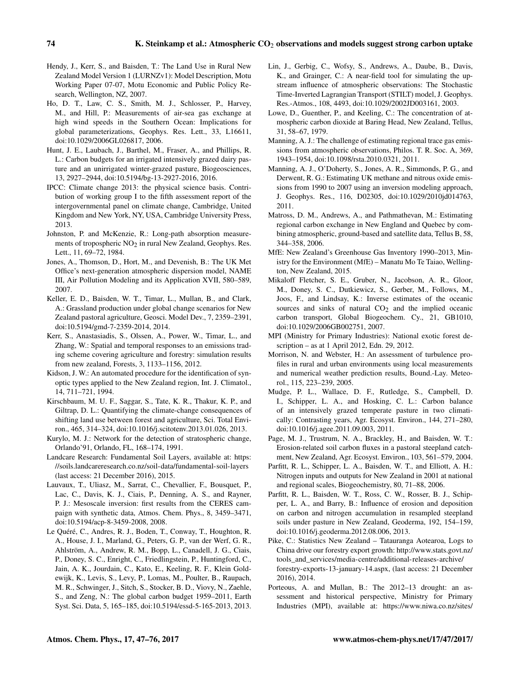- Hendy, J., Kerr, S., and Baisden, T.: The Land Use in Rural New Zealand Model Version 1 (LURNZv1): Model Description, Motu Working Paper 07-07, Motu Economic and Public Policy Research, Wellington, NZ, 2007.
- Ho, D. T., Law, C. S., Smith, M. J., Schlosser, P., Harvey, M., and Hill, P.: Measurements of air-sea gas exchange at high wind speeds in the Southern Ocean: Implications for global parameterizations, Geophys. Res. Lett., 33, L16611, doi[:10.1029/2006GL026817,](http://dx.doi.org/10.1029/2006GL026817) 2006.
- Hunt, J. E., Laubach, J., Barthel, M., Fraser, A., and Phillips, R. L.: Carbon budgets for an irrigated intensively grazed dairy pasture and an unirrigated winter-grazed pasture, Biogeosciences, 13, 2927–2944, doi[:10.5194/bg-13-2927-2016,](http://dx.doi.org/10.5194/bg-13-2927-2016) 2016.
- IPCC: Climate change 2013: the physical science basis. Contribution of working group I to the fifth assessment report of the intergovernmental panel on climate change, Cambridge, United Kingdom and New York, NY, USA, Cambridge University Press, 2013.
- Johnston, P. and McKenzie, R.: Long-path absorption measurements of tropospheric  $NO<sub>2</sub>$  in rural New Zealand, Geophys. Res. Lett., 11, 69–72, 1984.
- Jones, A., Thomson, D., Hort, M., and Devenish, B.: The UK Met Office's next-generation atmospheric dispersion model, NAME III, Air Pollution Modeling and its Application XVII, 580–589, 2007.
- Keller, E. D., Baisden, W. T., Timar, L., Mullan, B., and Clark, A.: Grassland production under global change scenarios for New Zealand pastoral agriculture, Geosci. Model Dev., 7, 2359–2391, doi[:10.5194/gmd-7-2359-2014,](http://dx.doi.org/10.5194/gmd-7-2359-2014) 2014.
- Kerr, S., Anastasiadis, S., Olssen, A., Power, W., Timar, L., and Zhang, W.: Spatial and temporal responses to an emissions trading scheme covering agriculture and forestry: simulation results from new zealand, Forests, 3, 1133–1156, 2012.
- Kidson, J. W.: An automated procedure for the identification of synoptic types applied to the New Zealand region, Int. J. Climatol., 14, 711–721, 1994.
- Kirschbaum, M. U. F., Saggar, S., Tate, K. R., Thakur, K. P., and Giltrap, D. L.: Quantifying the climate-change consequences of shifting land use between forest and agriculture, Sci. Total Environ., 465, 314–324, doi[:10.1016/j.scitotenv.2013.01.026,](http://dx.doi.org/10.1016/j.scitotenv.2013.01.026) 2013.
- Kurylo, M. J.: Network for the detection of stratospheric change, Orlando'91, Orlando, FL, 168–174, 1991.
- Landcare Research: Fundamental Soil Layers, available at: [https:](https://soils.landcareresearch.co.nz/soil-data/fundamental-soil-layers) [//soils.landcareresearch.co.nz/soil-data/fundamental-soil-layers](https://soils.landcareresearch.co.nz/soil-data/fundamental-soil-layers) (last access: 21 December 2016), 2015.
- Lauvaux, T., Uliasz, M., Sarrat, C., Chevallier, F., Bousquet, P., Lac, C., Davis, K. J., Ciais, P., Denning, A. S., and Rayner, P. J.: Mesoscale inversion: first results from the CERES campaign with synthetic data, Atmos. Chem. Phys., 8, 3459–3471, doi[:10.5194/acp-8-3459-2008,](http://dx.doi.org/10.5194/acp-8-3459-2008) 2008.
- Le Quéré, C., Andres, R. J., Boden, T., Conway, T., Houghton, R. A., House, J. I., Marland, G., Peters, G. P., van der Werf, G. R., Ahlström, A., Andrew, R. M., Bopp, L., Canadell, J. G., Ciais, P., Doney, S. C., Enright, C., Friedlingstein, P., Huntingford, C., Jain, A. K., Jourdain, C., Kato, E., Keeling, R. F., Klein Goldewijk, K., Levis, S., Levy, P., Lomas, M., Poulter, B., Raupach, M. R., Schwinger, J., Sitch, S., Stocker, B. D., Viovy, N., Zaehle, S., and Zeng, N.: The global carbon budget 1959–2011, Earth Syst. Sci. Data, 5, 165–185, doi[:10.5194/essd-5-165-2013,](http://dx.doi.org/10.5194/essd-5-165-2013) 2013.
- Lin, J., Gerbig, C., Wofsy, S., Andrews, A., Daube, B., Davis, K., and Grainger, C.: A near-field tool for simulating the upstream influence of atmospheric observations: The Stochastic Time-Inverted Lagrangian Transport (STILT) model, J. Geophys. Res.-Atmos., 108, 4493, doi[:10.1029/2002JD003161,](http://dx.doi.org/10.1029/2002JD003161) 2003.
- Lowe, D., Guenther, P., and Keeling, C.: The concentration of atmospheric carbon dioxide at Baring Head, New Zealand, Tellus, 31, 58–67, 1979.
- Manning, A. J.: The challenge of estimating regional trace gas emissions from atmospheric observations, Philos. T. R. Soc. A, 369, 1943–1954, doi[:10.1098/rsta.2010.0321,](http://dx.doi.org/10.1098/rsta.2010.0321) 2011.
- Manning, A. J., O'Doherty, S., Jones, A. R., Simmonds, P. G., and Derwent, R. G.: Estimating UK methane and nitrous oxide emissions from 1990 to 2007 using an inversion modeling approach, J. Geophys. Res., 116, D02305, doi[:10.1029/2010jd014763,](http://dx.doi.org/10.1029/2010jd014763) 2011.
- Matross, D. M., Andrews, A., and Pathmathevan, M.: Estimating regional carbon exchange in New England and Quebec by combining atmospheric, ground-based and satellite data, Tellus B, 58, 344–358, 2006.
- MfE: New Zealand's Greenhouse Gas Inventory 1990–2013, Ministry for the Environment (MfE) – Manatu Mo Te Taiao, Wellington, New Zealand, 2015.
- Mikaloff Fletcher, S. E., Gruber, N., Jacobson, A. R., Gloor, M., Doney, S. C., Dutkiewicz, S., Gerber, M., Follows, M., Joos, F., and Lindsay, K.: Inverse estimates of the oceanic sources and sinks of natural CO<sub>2</sub> and the implied oceanic carbon transport, Global Biogeochem. Cy., 21, GB1010, doi[:10.1029/2006GB002751,](http://dx.doi.org/10.1029/2006GB002751) 2007.
- MPI (Ministry for Primary Industries): National exotic forest description – as at 1 April 2012, Edn. 29, 2012.
- Morrison, N. and Webster, H.: An assessment of turbulence profiles in rural and urban environments using local measurements and numerical weather prediction results, Bound.-Lay. Meteorol., 115, 223–239, 2005.
- Mudge, P. L., Wallace, D. F., Rutledge, S., Campbell, D. I., Schipper, L. A., and Hosking, C. L.: Carbon balance of an intensively grazed temperate pasture in two climatically: Contrasting years, Agr. Ecosyst. Environ., 144, 271–280, doi[:10.1016/j.agee.2011.09.003,](http://dx.doi.org/10.1016/j.agee.2011.09.003) 2011.
- Page, M. J., Trustrum, N. A., Brackley, H., and Baisden, W. T.: Erosion-related soil carbon fluxes in a pastoral steepland catchment, New Zealand, Agr. Ecosyst. Environ., 103, 561–579, 2004.
- Parfitt, R. L., Schipper, L. A., Baisden, W. T., and Elliott, A. H.: Nitrogen inputs and outputs for New Zealand in 2001 at national and regional scales, Biogeochemistry, 80, 71–88, 2006.
- Parfitt, R. L., Baisden, W. T., Ross, C. W., Rosser, B. J., Schipper, L. A., and Barry, B.: Influence of erosion and deposition on carbon and nitrogen accumulation in resampled steepland soils under pasture in New Zealand, Geoderma, 192, 154–159, doi[:10.1016/j.geoderma.2012.08.006,](http://dx.doi.org/10.1016/j.geoderma.2012.08.006) 2013.
- Pike, C.: Statistics New Zealand Tatauranga Aotearoa, Logs to China drive our forestry export growth: [http://www.stats.govt.nz/](http://www.stats.govt.nz/tools_and_services/media-centre/additional-releases-archive/forestry-exports-13-january-14.aspx) [tools\\_and\\_services/media-centre/additional-releases-archive/](http://www.stats.govt.nz/tools_and_services/media-centre/additional-releases-archive/forestry-exports-13-january-14.aspx) [forestry-exports-13-january-14.aspx,](http://www.stats.govt.nz/tools_and_services/media-centre/additional-releases-archive/forestry-exports-13-january-14.aspx) (last access: 21 December 2016), 2014.
- Porteous, A. and Mullan, B.: The 2012–13 drought: an assessment and historical perspective, Ministry for Primary Industries (MPI), available at: [https://www.niwa.co.nz/sites/](https://www.niwa.co.nz/sites/niwa.co.nz/files/2013-18-The%202012-13%20drought%20an%20assessment%20and%20historical%20perspective.pdf )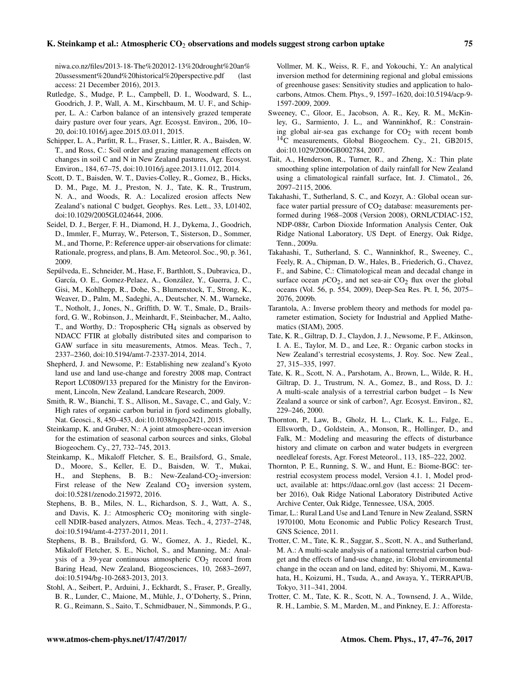## K. Steinkamp et al.: Atmospheric CO<sub>2</sub> observations and models suggest strong carbon uptake 75

[niwa.co.nz/files/2013-18-The%202012-13%20drought%20an%](https://www.niwa.co.nz/sites/niwa.co.nz/files/2013-18-The%202012-13%20drought%20an%20assessment%20and%20historical%20perspective.pdf ) [20assessment%20and%20historical%20perspective.pdf](https://www.niwa.co.nz/sites/niwa.co.nz/files/2013-18-The%202012-13%20drought%20an%20assessment%20and%20historical%20perspective.pdf ) (last access: 21 December 2016), 2013.

- Rutledge, S., Mudge, P. L., Campbell, D. I., Woodward, S. L., Goodrich, J. P., Wall, A. M., Kirschbaum, M. U. F., and Schipper, L. A.: Carbon balance of an intensively grazed temperate dairy pasture over four years, Agr. Ecosyst. Environ., 206, 10– 20, doi[:10.1016/j.agee.2015.03.011,](http://dx.doi.org/10.1016/j.agee.2015.03.011) 2015.
- Schipper, L. A., Parfitt, R. L., Fraser, S., Littler, R. A., Baisden, W. T., and Ross, C.: Soil order and grazing management effects on changes in soil C and N in New Zealand pastures, Agr. Ecosyst. Environ., 184, 67–75, doi[:10.1016/j.agee.2013.11.012,](http://dx.doi.org/10.1016/j.agee.2013.11.012) 2014.
- Scott, D. T., Baisden, W. T., Davies-Colley, R., Gomez, B., Hicks, D. M., Page, M. J., Preston, N. J., Tate, K. R., Trustrum, N. A., and Woods, R. A.: Localized erosion affects New Zealand's national C budget, Geophys. Res. Lett., 33, L01402, doi[:10.1029/2005GL024644,](http://dx.doi.org/10.1029/2005GL024644) 2006.
- Seidel, D. J., Berger, F. H., Diamond, H. J., Dykema, J., Goodrich, D., Immler, F., Murray, W., Peterson, T., Sisterson, D., Sommer, M., and Thorne, P.: Reference upper-air observations for climate: Rationale, progress, and plans, B. Am. Meteorol. Soc., 90, p. 361, 2009.
- Sepúlveda, E., Schneider, M., Hase, F., Barthlott, S., Dubravica, D., García, O. E., Gomez-Pelaez, A., González, Y., Guerra, J. C., Gisi, M., Kohlhepp, R., Dohe, S., Blumenstock, T., Strong, K., Weaver, D., Palm, M., Sadeghi, A., Deutscher, N. M., Warneke, T., Notholt, J., Jones, N., Griffith, D. W. T., Smale, D., Brailsford, G. W., Robinson, J., Meinhardt, F., Steinbacher, M., Aalto, T., and Worthy, D.: Tropospheric  $CH<sub>4</sub>$  signals as observed by NDACC FTIR at globally distributed sites and comparison to GAW surface in situ measurements, Atmos. Meas. Tech., 7, 2337–2360, doi[:10.5194/amt-7-2337-2014,](http://dx.doi.org/10.5194/amt-7-2337-2014) 2014.
- Shepherd, J. and Newsome, P.: Establishing new zealand's Kyoto land use and land use-change and forestry 2008 map, Contract Report LC0809/133 prepared for the Ministry for the Environment, Lincoln, New Zealand, Landcare Research, 2009.
- Smith, R. W., Bianchi, T. S., Allison, M., Savage, C., and Galy, V.: High rates of organic carbon burial in fjord sediments globally, Nat. Geosci., 8, 450–453, doi[:10.1038/ngeo2421,](http://dx.doi.org/10.1038/ngeo2421) 2015.
- Steinkamp, K. and Gruber, N.: A joint atmosphere-ocean inversion for the estimation of seasonal carbon sources and sinks, Global Biogeochem. Cy., 27, 732–745, 2013.
- Steinkamp, K., Mikaloff Fletcher, S. E., Brailsford, G., Smale, D., Moore, S., Keller, E. D., Baisden, W. T., Mukai, H., and Stephens, B. B.: New-Zealand-CO<sub>2</sub>-inversion: First release of the New Zealand  $CO<sub>2</sub>$  inversion system, doi[:10.5281/zenodo.215972,](http://dx.doi.org/10.5281/zenodo.215972) 2016.
- Stephens, B. B., Miles, N. L., Richardson, S. J., Watt, A. S., and Davis, K. J.: Atmospheric  $CO<sub>2</sub>$  monitoring with singlecell NDIR-based analyzers, Atmos. Meas. Tech., 4, 2737–2748, doi[:10.5194/amt-4-2737-2011,](http://dx.doi.org/10.5194/amt-4-2737-2011) 2011.
- Stephens, B. B., Brailsford, G. W., Gomez, A. J., Riedel, K., Mikaloff Fletcher, S. E., Nichol, S., and Manning, M.: Analysis of a 39-year continuous atmospheric  $CO<sub>2</sub>$  record from Baring Head, New Zealand, Biogeosciences, 10, 2683–2697, doi[:10.5194/bg-10-2683-2013,](http://dx.doi.org/10.5194/bg-10-2683-2013) 2013.
- Stohl, A., Seibert, P., Arduini, J., Eckhardt, S., Fraser, P., Greally, B. R., Lunder, C., Maione, M., Mühle, J., O'Doherty, S., Prinn, R. G., Reimann, S., Saito, T., Schmidbauer, N., Simmonds, P. G.,

Vollmer, M. K., Weiss, R. F., and Yokouchi, Y.: An analytical inversion method for determining regional and global emissions of greenhouse gases: Sensitivity studies and application to halocarbons, Atmos. Chem. Phys., 9, 1597–1620, doi[:10.5194/acp-9-](http://dx.doi.org/10.5194/acp-9-1597-2009) [1597-2009,](http://dx.doi.org/10.5194/acp-9-1597-2009) 2009.

- Sweeney, C., Gloor, E., Jacobson, A. R., Key, R. M., McKinley, G., Sarmiento, J. L., and Wanninkhof, R.: Constraining global air-sea gas exchange for  $CO<sub>2</sub>$  with recent bomb <sup>14</sup>C measurements, Global Biogeochem. Cy., 21, GB2015, doi[:10.1029/2006GB002784,](http://dx.doi.org/10.1029/2006GB002784) 2007.
- Tait, A., Henderson, R., Turner, R., and Zheng, X.: Thin plate smoothing spline interpolation of daily rainfall for New Zealand using a climatological rainfall surface, Int. J. Climatol., 26, 2097–2115, 2006.
- Takahashi, T., Sutherland, S. C., and Kozyr, A.: Global ocean surface water partial pressure of  $CO<sub>2</sub>$  database: measurements performed during 1968–2008 (Version 2008), ORNL/CDIAC-152, NDP-088r, Carbon Dioxide Information Analysis Center, Oak Ridge National Laboratory, US Dept. of Energy, Oak Ridge, Tenn., 2009a.
- Takahashi, T., Sutherland, S. C., Wanninkhof, R., Sweeney, C., Feely, R. A., Chipman, D. W., Hales, B., Friederich, G., Chavez, F., and Sabine, C.: Climatological mean and decadal change in surface ocean  $pCO<sub>2</sub>$ , and net sea-air  $CO<sub>2</sub>$  flux over the global oceans (Vol. 56, p. 554, 2009), Deep-Sea Res. Pt. I, 56, 2075– 2076, 2009b.
- Tarantola, A.: Inverse problem theory and methods for model parameter estimation, Society for Industrial and Applied Mathematics (SIAM), 2005.
- Tate, K. R., Giltrap, D. J., Claydon, J. J., Newsome, P. F., Atkinson, I. A. E., Taylor, M. D., and Lee, R.: Organic carbon stocks in New Zealand's terrestrial ecosystems, J. Roy. Soc. New Zeal., 27, 315–335, 1997.
- Tate, K. R., Scott, N. A., Parshotam, A., Brown, L., Wilde, R. H., Giltrap, D. J., Trustrum, N. A., Gomez, B., and Ross, D. J.: A multi-scale analysis of a terrestrial carbon budget – Is New Zealand a source or sink of carbon?, Agr. Ecosyst. Environ., 82, 229–246, 2000.
- Thornton, P., Law, B., Gholz, H. L., Clark, K. L., Falge, E., Ellsworth, D., Goldstein, A., Monson, R., Hollinger, D., and Falk, M.: Modeling and measuring the effects of disturbance history and climate on carbon and water budgets in evergreen needleleaf forests, Agr. Forest Meteorol., 113, 185–222, 2002.
- Thornton, P. E., Running, S. W., and Hunt, E.: Biome-BGC: terrestrial ecosystem process model, Version 4.1. 1, Model product, available at: <https://daac.ornl.gov> (last access: 21 December 2016), Oak Ridge National Laboratory Distributed Active Archive Center, Oak Ridge, Tennessee, USA, 2005.
- Timar, L.: Rural Land Use and Land Tenure in New Zealand, SSRN 1970100, Motu Economic and Public Policy Research Trust, GNS Science, 2011.
- Trotter, C. M., Tate, K. R., Saggar, S., Scott, N. A., and Sutherland, M. A.: A multi-scale analysis of a national terrestrial carbon budget and the effects of land-use change, in: Global environmental change in the ocean and on land, edited by: Shiyomi, M., Kawahata, H., Koizumi, H., Tsuda, A., and Awaya, Y., TERRAPUB, Tokyo, 311–341, 2004.
- Trotter, C. M., Tate, K. R., Scott, N. A., Townsend, J. A., Wilde, R. H., Lambie, S. M., Marden, M., and Pinkney, E. J.: Afforesta-